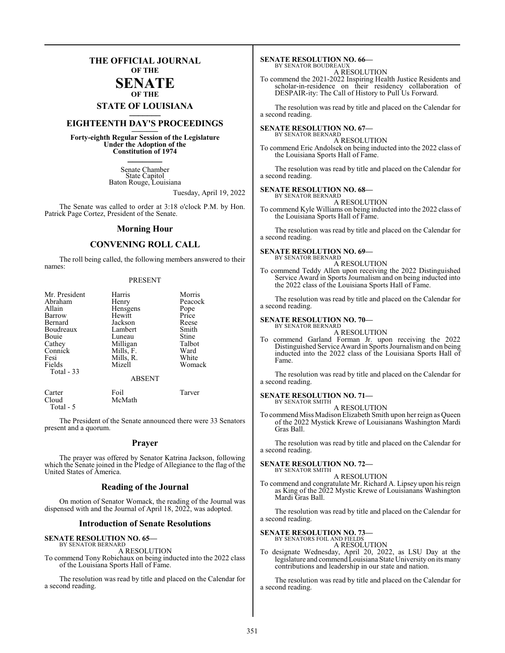### **THE OFFICIAL JOURNAL OF THE**

### **SENATE OF THE**

## **STATE OF LOUISIANA \_\_\_\_\_\_\_**

### **EIGHTEENTH DAY'S PROCEEDINGS \_\_\_\_\_\_\_**

**Forty-eighth Regular Session of the Legislature Under the Adoption of the Constitution of 1974 \_\_\_\_\_\_\_**

> Senate Chamber State Capitol Baton Rouge, Louisiana

> > Tuesday, April 19, 2022

The Senate was called to order at 3:18 o'clock P.M. by Hon. Patrick Page Cortez, President of the Senate.

### **Morning Hour**

### **CONVENING ROLL CALL**

The roll being called, the following members answered to their names:

### PRESENT

Cloud McMath Total - 5

The President of the Senate announced there were 33 Senators present and a quorum.

### **Prayer**

The prayer was offered by Senator Katrina Jackson, following which the Senate joined in the Pledge of Allegiance to the flag of the United States of America.

### **Reading of the Journal**

On motion of Senator Womack, the reading of the Journal was dispensed with and the Journal of April 18, 2022, was adopted.

### **Introduction of Senate Resolutions**

#### **SENATE RESOLUTION NO. 65—** BY SENATOR BERNARD

A RESOLUTION

To commend Tony Robichaux on being inducted into the 2022 class of the Louisiana Sports Hall of Fame.

The resolution was read by title and placed on the Calendar for a second reading.

#### **SENATE RESOLUTION NO. 66—** BY SENATOR BOUDREAUX

A RESOLUTION

To commend the 2021-2022 Inspiring Health Justice Residents and scholar-in-residence on their residency collaboration of DESPAIR-ity: The Call of History to Pull Us Forward.

The resolution was read by title and placed on the Calendar for a second reading.

#### **SENATE RESOLUTION NO. 67—** BY SENATOR BERNARD

A RESOLUTION

To commend Eric Andolsek on being inducted into the 2022 class of the Louisiana Sports Hall of Fame.

The resolution was read by title and placed on the Calendar for a second reading.

### **SENATE RESOLUTION NO. 68—**

BY SENATOR BERNARD A RESOLUTION

To commend Kyle Williams on being inducted into the 2022 class of the Louisiana Sports Hall of Fame.

The resolution was read by title and placed on the Calendar for a second reading.

### **SENATE RESOLUTION NO. 69—**

BY SENATOR BERNARD A RESOLUTION

To commend Teddy Allen upon receiving the 2022 Distinguished Service Award in Sports Journalism and on being inducted into the 2022 class of the Louisiana Sports Hall of Fame.

The resolution was read by title and placed on the Calendar for a second reading.

### **SENATE RESOLUTION NO. 70—**

BY SENATOR BERNARD A RESOLUTION

To commend Garland Forman Jr. upon receiving the 2022 Distinguished Service Award in Sports Journalismand on being inducted into the 2022 class of the Louisiana Sports Hall of Fame.

The resolution was read by title and placed on the Calendar for a second reading.

#### **SENATE RESOLUTION NO. 71—** BY SENATOR SMITH

A RESOLUTION

To commend Miss Madison Elizabeth Smith upon her reign as Queen of the 2022 Mystick Krewe of Louisianans Washington Mardi Gras Ball.

The resolution was read by title and placed on the Calendar for a second reading.

## **SENATE RESOLUTION NO. 72—**<br>BY SENATOR SMITH

A RESOLUTION

To commend and congratulate Mr. Richard A. Lipsey upon his reign as King of the 2022 Mystic Krewe of Louisianans Washington Mardi Gras Ball.

The resolution was read by title and placed on the Calendar for a second reading.

### **SENATE RESOLUTION NO. 73—**

BY SENATORS FOIL AND FIELDS A RESOLUTION

To designate Wednesday, April 20, 2022, as LSU Day at the legislature and commend Louisiana State University on its many contributions and leadership in our state and nation.

The resolution was read by title and placed on the Calendar for a second reading.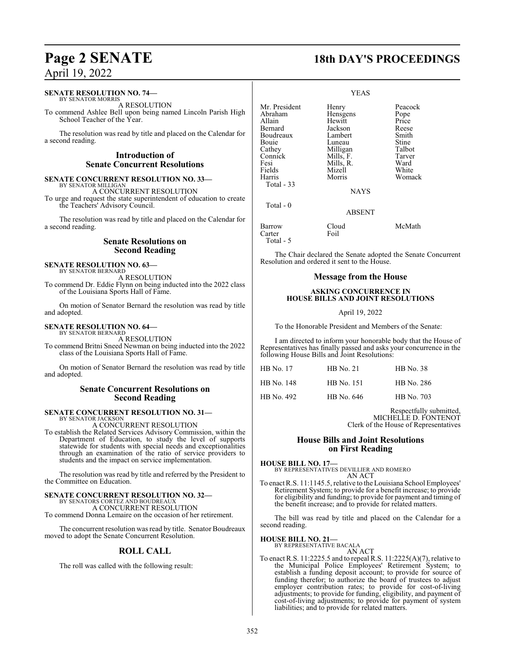### **SENATE RESOLUTION NO. 74—**

BY SENATOR MORRIS A RESOLUTION

To commend Ashlee Bell upon being named Lincoln Parish High School Teacher of the Year.

The resolution was read by title and placed on the Calendar for a second reading.

### **Introduction of Senate Concurrent Resolutions**

#### **SENATE CONCURRENT RESOLUTION NO. 33—** BY SENATOR MILLIGA

A CONCURRENT RESOLUTION

To urge and request the state superintendent of education to create the Teachers' Advisory Council.

The resolution was read by title and placed on the Calendar for a second reading.

### **Senate Resolutions on Second Reading**

### **SENATE RESOLUTION NO. 63—** BY SENATOR BERNARD

A RESOLUTION

To commend Dr. Eddie Flynn on being inducted into the 2022 class of the Louisiana Sports Hall of Fame.

On motion of Senator Bernard the resolution was read by title and adopted.

### **SENATE RESOLUTION NO. 64—** BY SENATOR BERNARD

A RESOLUTION

To commend Britni Sneed Newman on being inducted into the 2022 class of the Louisiana Sports Hall of Fame.

On motion of Senator Bernard the resolution was read by title and adopted.

### **Senate Concurrent Resolutions on Second Reading**

### **SENATE CONCURRENT RESOLUTION NO. 31—**

BY SENATOR JACKSON A CONCURRENT RESOLUTION

To establish the Related Services Advisory Commission, within the Department of Education, to study the level of supports statewide for students with special needs and exceptionalities through an examination of the ratio of service providers to students and the impact on service implementation.

The resolution was read by title and referred by the President to the Committee on Education.

#### **SENATE CONCURRENT RESOLUTION NO. 32—** BY SENATORS CORTEZ AND BOUDREAUX

A CONCURRENT RESOLUTION To commend Donna Lemaire on the occasion of her retirement.

The concurrent resolution was read by title. Senator Boudreaux moved to adopt the Senate Concurrent Resolution.

### **ROLL CALL**

The roll was called with the following result:

## **Page 2 SENATE 18th DAY'S PROCEEDINGS**

|                                                                                                                                    | <b>YEAS</b>                                                                                                                          |                                                                                                    |
|------------------------------------------------------------------------------------------------------------------------------------|--------------------------------------------------------------------------------------------------------------------------------------|----------------------------------------------------------------------------------------------------|
| Mr. President<br>Abraham<br>Allain<br>Bernard<br>Boudreaux<br>Bouie<br>Cathey<br>Connick<br>Fesi<br>Fields<br>Harris<br>Total - 33 | Henry<br>Hensgens<br>Hewitt<br>Jackson<br>Lambert<br>Luneau<br>Milligan<br>Mills, F.<br>Mills, R.<br>Mizell<br>Morris<br><b>NAYS</b> | Peacock<br>Pope<br>Price<br>Reese<br>Smith<br>Stine<br>Talbot<br>Tarver<br>Ward<br>White<br>Womack |
| Total - 0                                                                                                                          | <b>ABSENT</b>                                                                                                                        |                                                                                                    |
| Barrow<br>Carter<br>Total - 5                                                                                                      | Cloud<br>Foil                                                                                                                        | McMath                                                                                             |

The Chair declared the Senate adopted the Senate Concurrent Resolution and ordered it sent to the House.

### **Message from the House**

### **ASKING CONCURRENCE IN HOUSE BILLS AND JOINT RESOLUTIONS**

April 19, 2022

To the Honorable President and Members of the Senate:

I am directed to inform your honorable body that the House of Representatives has finally passed and asks your concurrence in the following House Bills and Joint Resolutions:

| HB No. 17  | <b>HB</b> No. 21 | HB No. 38  |
|------------|------------------|------------|
| HB No. 148 | HB No. 151       | HB No. 286 |
| HB No. 492 | HB No. 646       | HB No. 703 |

Respectfully submitted, MICHELLE D. FONTENOT Clerk of the House of Representatives

### **House Bills and Joint Resolutions on First Reading**

**HOUSE BILL NO. 17—**

BY REPRESENTATIVES DEVILLIER AND ROMERO AN ACT

To enact R.S. 11:1145.5, relative to the Louisiana School Employees' Retirement System; to provide for a benefit increase; to provide for eligibility and funding; to provide for payment and timing of the benefit increase; and to provide for related matters.

The bill was read by title and placed on the Calendar for a second reading.

### **HOUSE BILL NO. 21—**

BY REPRESENTATIVE BACALA AN ACT

To enact R.S. 11:2225.5 and to repeal R.S. 11:2225(A)(7), relative to the Municipal Police Employees' Retirement System; to establish a funding deposit account; to provide for source of funding therefor; to authorize the board of trustees to adjust employer contribution rates; to provide for cost-of-living adjustments; to provide for funding, eligibility, and payment of cost-of-living adjustments; to provide for payment of system liabilities; and to provide for related matters.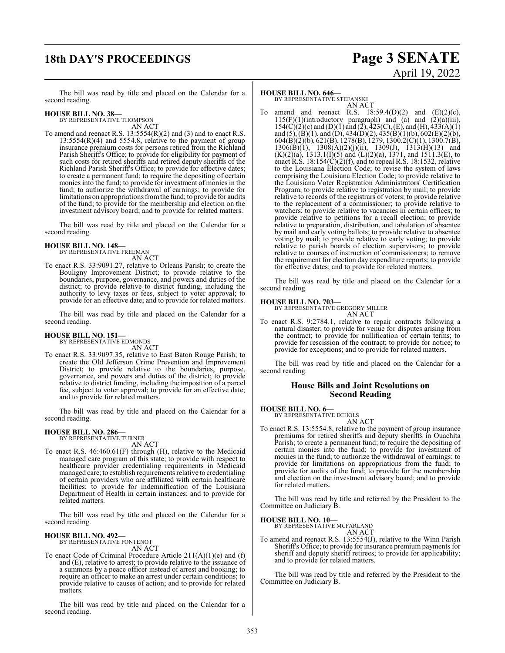## **18th DAY'S PROCEEDINGS Page 3 SENATE**

# April 19, 2022

The bill was read by title and placed on the Calendar for a second reading.

### **HOUSE BILL NO. 38—**

BY REPRESENTATIVE THOMPSON AN ACT

To amend and reenact R.S. 13:5554(R)(2) and (3) and to enact R.S.  $13:5554(R)(4)$  and  $5554.8$ , relative to the payment of group insurance premium costs for persons retired from the Richland Parish Sheriff's Office; to provide for eligibility for payment of such costs for retired sheriffs and retired deputy sheriffs of the Richland Parish Sheriff's Office; to provide for effective dates; to create a permanent fund; to require the depositing of certain monies into the fund; to provide for investment of monies in the fund; to authorize the withdrawal of earnings; to provide for limitations on appropriations from the fund; to provide for audits of the fund; to provide for the membership and election on the investment advisory board; and to provide for related matters.

The bill was read by title and placed on the Calendar for a second reading.

### **HOUSE BILL NO. 148—**

BY REPRESENTATIVE FREEMAN AN ACT

To enact R.S. 33:9091.27, relative to Orleans Parish; to create the Bouligny Improvement District; to provide relative to the boundaries, purpose, governance, and powers and duties of the district; to provide relative to district funding, including the authority to levy taxes or fees, subject to voter approval; to provide for an effective date; and to provide for related matters.

The bill was read by title and placed on the Calendar for a second reading.

### **HOUSE BILL NO. 151—** BY REPRESENTATIVE EDMONDS

AN ACT

To enact R.S. 33:9097.35, relative to East Baton Rouge Parish; to create the Old Jefferson Crime Prevention and Improvement District; to provide relative to the boundaries, purpose, governance, and powers and duties of the district; to provide relative to district funding, including the imposition of a parcel fee, subject to voter approval; to provide for an effective date; and to provide for related matters.

The bill was read by title and placed on the Calendar for a second reading.

### **HOUSE BILL NO. 286—** BY REPRESENTATIVE TURNER

AN ACT

To enact R.S. 46:460.61(F) through (H), relative to the Medicaid managed care program of this state; to provide with respect to healthcare provider credentialing requirements in Medicaid managed care; to establish requirements relative to credentialing of certain providers who are affiliated with certain healthcare facilities; to provide for indemnification of the Louisiana Department of Health in certain instances; and to provide for related matters.

The bill was read by title and placed on the Calendar for a second reading.

## **HOUSE BILL NO. 492—** BY REPRESENTATIVE FONTENOT

AN ACT

To enact Code of Criminal Procedure Article 211(A)(1)(e) and (f) and (E), relative to arrest; to provide relative to the issuance of a summons by a peace officer instead of arrest and booking; to require an officer to make an arrest under certain conditions; to provide relative to causes of action; and to provide for related matters.

The bill was read by title and placed on the Calendar for a second reading.

### **HOUSE BILL NO. 646—**

BY REPRESENTATIVE STEFANSKI AN ACT

amend and reenact R.S.  $18:59.4(D)(2)$  and  $(E)(2)(c)$ ,  $115(F)(1)$ (introductory paragraph) and (a) and (2)(a)(iii),  $154(C)(2)(c)$  and  $(D)(1)$  and  $(2), 423(C), (E),$  and  $(H), 433(A)(1)$ and (5), (B)(1), and (D), 434(D)(2), 435(B)(1)(b), 602(E)(2)(b), 604(B)(2)(b), 621(B), 1278(B), 1279, 1300.2(C)(1), 1300.7(B),  $1306(B)(1)$ ,  $1308(A)(2)(j)(ii)$ ,  $1309(J)$ ,  $1313(H)(13)$  and  $(K)(2)(a)$ , 1313.1(I)(5) and (L)(2)(a), 1371, and 1511.3(E), to enact R.S.  $18:154(C)(2)(f)$ , and to repeal R.S. 18:1532, relative to the Louisiana Election Code; to revise the system of laws comprising the Louisiana Election Code; to provide relative to the Louisiana Voter Registration Administrators' Certification Program; to provide relative to registration by mail; to provide relative to records of the registrars of voters; to provide relative to the replacement of a commissioner; to provide relative to watchers; to provide relative to vacancies in certain offices; to provide relative to petitions for a recall election; to provide relative to preparation, distribution, and tabulation of absentee by mail and early voting ballots; to provide relative to absentee voting by mail; to provide relative to early voting; to provide relative to parish boards of election supervisors; to provide relative to courses of instruction of commissioners; to remove the requirement for election day expenditure reports; to provide for effective dates; and to provide for related matters.

The bill was read by title and placed on the Calendar for a second reading.

**HOUSE BILL NO. 703—**

BY REPRESENTATIVE GREGORY MILLER AN ACT

To enact R.S. 9:2784.1, relative to repair contracts following a natural disaster; to provide for venue for disputes arising from the contract; to provide for nullification of certain terms; to provide for rescission of the contract; to provide for notice; to provide for exceptions; and to provide for related matters.

The bill was read by title and placed on the Calendar for a second reading.

### **House Bills and Joint Resolutions on Second Reading**

**HOUSE BILL NO. 6—**

BY REPRESENTATIVE ECHOLS AN ACT

To enact R.S. 13:5554.8, relative to the payment of group insurance premiums for retired sheriffs and deputy sheriffs in Ouachita Parish; to create a permanent fund; to require the depositing of certain monies into the fund; to provide for investment of monies in the fund; to authorize the withdrawal of earnings; to provide for limitations on appropriations from the fund; to provide for audits of the fund; to provide for the membership and election on the investment advisory board; and to provide for related matters.

The bill was read by title and referred by the President to the Committee on Judiciary B.

**HOUSE BILL NO. 10—**

BY REPRESENTATIVE MCFARLAND AN ACT

To amend and reenact R.S. 13:5554(J), relative to the Winn Parish Sheriff's Office; to provide for insurance premium payments for sheriff and deputy sheriff retirees; to provide for applicability; and to provide for related matters.

The bill was read by title and referred by the President to the Committee on Judiciary B.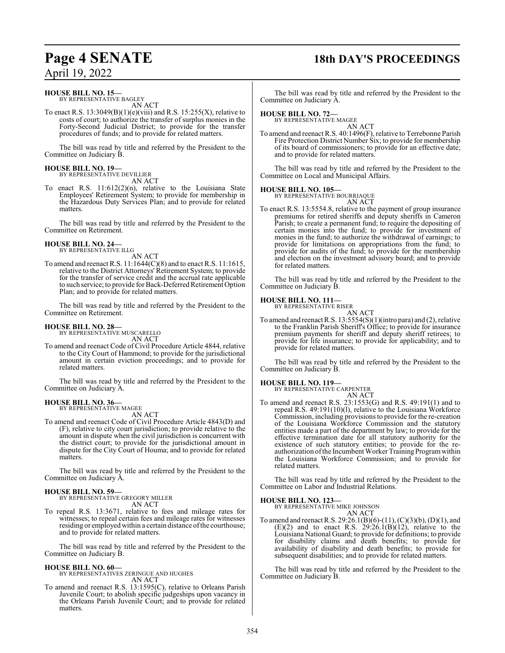## **Page 4 SENATE 18th DAY'S PROCEEDINGS**

April 19, 2022

### **HOUSE BILL NO. 15—**

BY REPRESENTATIVE BAGLEY AN ACT

To enact R.S.  $13:3049(B)(1)(e)(viii)$  and R.S.  $15:255(X)$ , relative to costs of court; to authorize the transfer of surplus monies in the Forty-Second Judicial District; to provide for the transfer procedures of funds; and to provide for related matters.

The bill was read by title and referred by the President to the Committee on Judiciary B.

#### **HOUSE BILL NO. 19—** BY REPRESENTATIVE DEVILLIER

AN ACT

To enact R.S. 11:612(2)(n), relative to the Louisiana State Employees' Retirement System; to provide for membership in the Hazardous Duty Services Plan; and to provide for related matters.

The bill was read by title and referred by the President to the Committee on Retirement.

### **HOUSE BILL NO. 24—** BY REPRESENTATIVE ILLG

AN ACT

To amend and reenact R.S. 11:1644(C)(8) and to enact R.S. 11:1615, relative to the District Attorneys' Retirement System; to provide for the transfer of service credit and the accrual rate applicable to such service; to provide for Back-Deferred Retirement Option Plan; and to provide for related matters.

The bill was read by title and referred by the President to the Committee on Retirement.

### **HOUSE BILL NO. 28—**

BY REPRESENTATIVE MUSCARELLO AN ACT

To amend and reenact Code of Civil Procedure Article 4844, relative to the City Court of Hammond; to provide for the jurisdictional amount in certain eviction proceedings; and to provide for related matters.

The bill was read by title and referred by the President to the Committee on Judiciary A.

### **HOUSE BILL NO. 36—** BY REPRESENTATIVE MAGEE

AN ACT

To amend and reenact Code of Civil Procedure Article 4843(D) and (F), relative to city court jurisdiction; to provide relative to the amount in dispute when the civil jurisdiction is concurrent with the district court; to provide for the jurisdictional amount in dispute for the City Court of Houma; and to provide for related matters.

The bill was read by title and referred by the President to the Committee on Judiciary A.

### **HOUSE BILL NO. 59—**

BY REPRESENTATIVE GREGORY MILLER AN ACT

To repeal R.S. 13:3671, relative to fees and mileage rates for witnesses; to repeal certain fees and mileage rates for witnesses residing or employed within a certain distance of the courthouse; and to provide for related matters.

The bill was read by title and referred by the President to the Committee on Judiciary B.

### **HOUSE BILL NO. 60—**

BY REPRESENTATIVES ZERINGUE AND HUGHES AN ACT

To amend and reenact R.S. 13:1595(C), relative to Orleans Parish Juvenile Court; to abolish specific judgeships upon vacancy in the Orleans Parish Juvenile Court; and to provide for related matters.

The bill was read by title and referred by the President to the Committee on Judiciary A.

### **HOUSE BILL NO. 72—**

BY REPRESENTATIVE MAGEE AN ACT

To amend and reenact R.S. 40:1496(F), relative to Terrebonne Parish Fire Protection District Number Six; to provide for membership of its board of commissioners; to provide for an effective date; and to provide for related matters.

The bill was read by title and referred by the President to the Committee on Local and Municipal Affairs.

### **HOUSE BILL NO. 105—**

BY REPRESENTATIVE BOURRIAQUE

AN ACT To enact R.S. 13:5554.8, relative to the payment of group insurance premiums for retired sheriffs and deputy sheriffs in Cameron Parish; to create a permanent fund; to require the depositing of certain monies into the fund; to provide for investment of monies in the fund; to authorize the withdrawal of earnings; to provide for limitations on appropriations from the fund; to provide for audits of the fund; to provide for the membership and election on the investment advisory board; and to provide for related matters.

The bill was read by title and referred by the President to the Committee on Judiciary B.

### **HOUSE BILL NO. 111—**

BY REPRESENTATIVE RISER AN ACT

To amend and reenact R.S. 13:5554(S)(1)(intro para) and (2), relative to the Franklin Parish Sheriff's Office; to provide for insurance premium payments for sheriff and deputy sheriff retirees; to provide for life insurance; to provide for applicability; and to provide for related matters.

The bill was read by title and referred by the President to the Committee on Judiciary B.

### **HOUSE BILL NO. 119—**

BY REPRESENTATIVE CARPENTER

AN ACT To amend and reenact R.S. 23:1553(G) and R.S. 49:191(1) and to repeal R.S. 49:191(10)(l), relative to the Louisiana Workforce Commission, including provisions to provide for the re-creation of the Louisiana Workforce Commission and the statutory entities made a part of the department by law; to provide for the effective termination date for all statutory authority for the existence of such statutory entities; to provide for the reauthorization of the Incumbent Worker Training Program within the Louisiana Workforce Commission; and to provide for related matters.

The bill was read by title and referred by the President to the Committee on Labor and Industrial Relations.

### **HOUSE BILL NO. 123—**

BY REPRESENTATIVE MIKE JOHNSON AN ACT

To amend and reenact R.S. 29:26.1(B)(6)-(11), (C)(3)(b), (D)(1), and  $(E)(2)$  and to enact R.S. 29:26.1 $(B)(12)$ , relative to the Louisiana National Guard; to provide for definitions; to provide for disability claims and death benefits; to provide for availability of disability and death benefits; to provide for subsequent disabilities; and to provide for related matters.

The bill was read by title and referred by the President to the Committee on Judiciary B.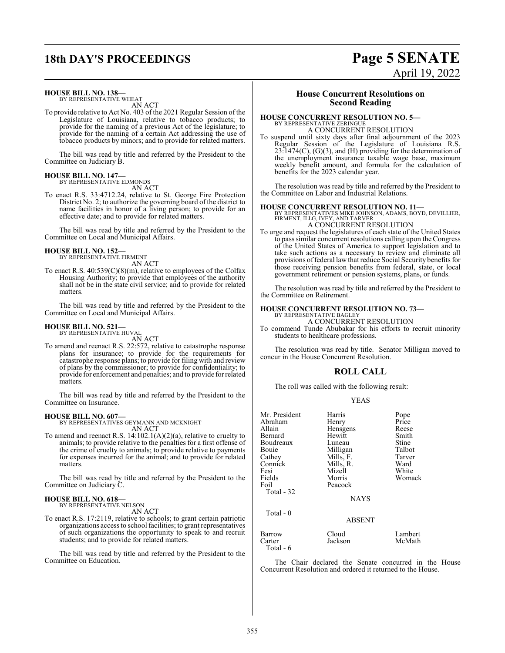## **18th DAY'S PROCEEDINGS Page 5 SENATE**

### **HOUSE BILL NO. 138—**

BY REPRESENTATIVE WHEAT AN ACT

To provide relative to Act No. 403 of the 2021 Regular Session ofthe Legislature of Louisiana, relative to tobacco products; to provide for the naming of a previous Act of the legislature; to provide for the naming of a certain Act addressing the use of tobacco products by minors; and to provide for related matters.

The bill was read by title and referred by the President to the Committee on Judiciary B.

### **HOUSE BILL NO. 147—** BY REPRESENTATIVE EDMONDS

AN ACT

To enact R.S. 33:4712.24, relative to St. George Fire Protection District No. 2; to authorize the governing board of the district to name facilities in honor of a living person; to provide for an effective date; and to provide for related matters.

The bill was read by title and referred by the President to the Committee on Local and Municipal Affairs.

### **HOUSE BILL NO. 152—** BY REPRESENTATIVE FIRMENT

AN ACT

To enact R.S. 40:539(C)(8)(m), relative to employees of the Colfax Housing Authority; to provide that employees of the authority shall not be in the state civil service; and to provide for related matters.

The bill was read by title and referred by the President to the Committee on Local and Municipal Affairs.

### **HOUSE BILL NO. 521—**

BY REPRESENTATIVE HUVAL AN ACT

To amend and reenact R.S. 22:572, relative to catastrophe response plans for insurance; to provide for the requirements for catastrophe response plans; to provide for filing with and review of plans by the commissioner; to provide for confidentiality; to provide for enforcement and penalties; and to provide for related matters.

The bill was read by title and referred by the President to the Committee on Insurance.

### **HOUSE BILL NO. 607—**

BY REPRESENTATIVES GEYMANN AND MCKNIGHT AN ACT

To amend and reenact R.S. 14:102.1(A)(2)(a), relative to cruelty to animals; to provide relative to the penalties for a first offense of the crime of cruelty to animals; to provide relative to payments for expenses incurred for the animal; and to provide for related matters.

The bill was read by title and referred by the President to the Committee on Judiciary C.

### **HOUSE BILL NO. 618—** BY REPRESENTATIVE NELSON

AN ACT

To enact R.S. 17:2119, relative to schools; to grant certain patriotic organizations access to school facilities; to grant representatives of such organizations the opportunity to speak to and recruit students; and to provide for related matters.

The bill was read by title and referred by the President to the Committee on Education.

### **House Concurrent Resolutions on Second Reading**

### **HOUSE CONCURRENT RESOLUTION NO. 5—** BY REPRESENTATIVE ZERINGUE

A CONCURRENT RESOLUTION

To suspend until sixty days after final adjournment of the 2023 Regular Session of the Legislature of Louisiana R.S.  $23:1474(C)$ ,  $(G)(3)$ , and  $(H)$  providing for the determination of the unemployment insurance taxable wage base, maximum weekly benefit amount, and formula for the calculation of benefits for the 2023 calendar year.

The resolution was read by title and referred by the President to the Committee on Labor and Industrial Relations.

### **HOUSE CONCURRENT RESOLUTION NO. 11—**

BY REPRESENTATIVES MIKE JOHNSON, ADAMS, BOYD, DEVILLIER, FIRMENT, ILLG, IVEY, AND TARVER A CONCURRENT RESOLUTION

To urge and request the legislatures of each state of the United States to pass similar concurrent resolutions calling upon the Congress of the United States of America to support legislation and to take such actions as a necessary to review and eliminate all provisions of federal law that reduce Social Security benefits for those receiving pension benefits from federal, state, or local government retirement or pension systems, plans, or funds.

The resolution was read by title and referred by the President to the Committee on Retirement.

### **HOUSE CONCURRENT RESOLUTION NO. 73—** BY REPRESENTATIVE BAGLEY

A CONCURRENT RESOLUTION

To commend Tunde Abubakar for his efforts to recruit minority students to healthcare professions.

The resolution was read by title. Senator Milligan moved to concur in the House Concurrent Resolution.

### **ROLL CALL**

The roll was called with the following result:

### YEAS

| Mr. President<br>Abraham<br>Allain<br>Bernard<br>Boudreaux<br>Bouie<br>Cathey<br>Connick<br>Fesi<br>Fields<br>Foil<br>Total - 32<br>Total - 0 | Harris<br>Henry<br>Hensgens<br>Hewitt<br>Luneau<br>Milligan<br>Mills, F.<br>Mills, R.<br>Mizell<br>Morris<br>Peacock<br><b>NAYS</b> | Pope<br>Price<br>Reese<br>Smith<br>Stine<br>Talbot<br>Tarver<br>Ward<br>White<br>Womack |
|-----------------------------------------------------------------------------------------------------------------------------------------------|-------------------------------------------------------------------------------------------------------------------------------------|-----------------------------------------------------------------------------------------|
|                                                                                                                                               | <b>ABSENT</b>                                                                                                                       |                                                                                         |
| Barrow<br>Carter<br>Total - 6                                                                                                                 | Cloud<br>Jackson                                                                                                                    | Lambert<br>McMath                                                                       |

The Chair declared the Senate concurred in the House Concurrent Resolution and ordered it returned to the House.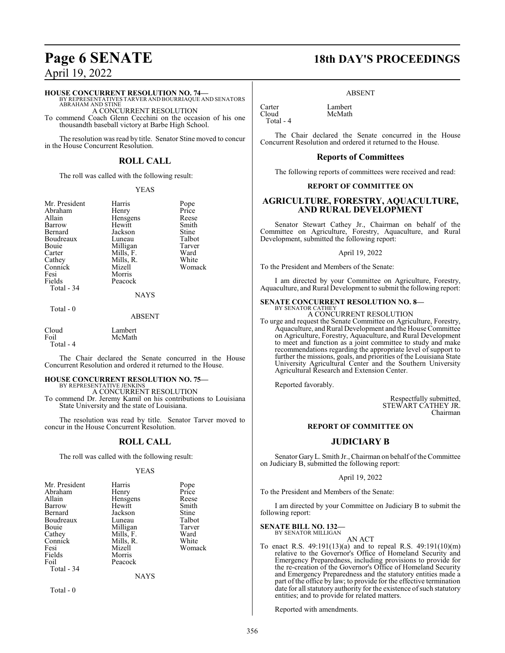### **HOUSE CONCURRENT RESOLUTION NO. 74—**

BY REPRESENTATIVES TARVER AND BOURRIAQUE AND SENATORS ABRAHAM AND STINE A CONCURRENT RESOLUTION

To commend Coach Glenn Cecchini on the occasion of his one thousandth baseball victory at Barbe High School.

The resolution was read by title. Senator Stine moved to concur in the House Concurrent Resolution.

### **ROLL CALL**

The roll was called with the following result:

McMath

### YEAS

| Mr. President | Harris    | Pope         |
|---------------|-----------|--------------|
| Abraham       | Henry     | Price        |
| Allain        | Hensgens  | Reese        |
| Barrow        | Hewitt    | Smith        |
| Bernard       | Jackson   | Stine        |
| Boudreaux     | Luneau    | Talbo        |
| Bouie         | Milligan  | <b>Tarve</b> |
| Carter        | Mills, F. | Ward         |
| Cathey        | Mills, R. | White        |
| Connick       | Mizell    | Woma         |
| Fesi          | Morris    |              |
| Fields        | Peacock   |              |
| Total - 34    |           |              |

Harris Pope<br>
Henry Price Henry Price<br>Hensgens Reese Hensgens<br>Hewitt Jackson Stine<br>
Luneau Talbot Luneau Talbot<br>Milligan Tarver Milligan Tarver<br>Mills. F. Ward Mizell Womack Morris

### NAYS

Total - 0

ABSENT

Cloud Lambert

Total - 4

The Chair declared the Senate concurred in the House Concurrent Resolution and ordered it returned to the House.

## **HOUSE CONCURRENT RESOLUTION NO. 75—** BY REPRESENTATIVE JENKINS

A CONCURRENT RESOLUTION To commend Dr. Jeremy Kamil on his contributions to Louisiana State University and the state of Louisiana.

The resolution was read by title. Senator Tarver moved to concur in the House Concurrent Resolution.

### **ROLL CALL**

The roll was called with the following result:

### YEAS

| Mr. President | Harris      | Pope         |
|---------------|-------------|--------------|
| Abraham       | Henry       | Price        |
| Allain        | Hensgens    | Reese        |
| Barrow        | Hewitt      | Smith        |
| Bernard       | Jackson     | <b>Stine</b> |
| Boudreaux     | Luneau      | Talbot       |
| Bouie         | Milligan    | Tarver       |
| Cathey        | Mills, F.   | Ward         |
| Connick       | Mills, R.   | White        |
| Fesi          | Mizell      | Womack       |
| Fields        | Morris      |              |
| Foil          | Peacock     |              |
| Total - 34    |             |              |
|               | <b>NAYS</b> |              |

Total - 0

## **Page 6 SENATE 18th DAY'S PROCEEDINGS**

ABSENT

McMath

Carter Lambert Total - 4

The Chair declared the Senate concurred in the House Concurrent Resolution and ordered it returned to the House.

### **Reports of Committees**

The following reports of committees were received and read:

### **REPORT OF COMMITTEE ON**

### **AGRICULTURE, FORESTRY, AQUACULTURE, AND RURAL DEVELOPMENT**

Senator Stewart Cathey Jr., Chairman on behalf of the Committee on Agriculture, Forestry, Aquaculture, and Rural Development, submitted the following report:

April 19, 2022

To the President and Members of the Senate:

I am directed by your Committee on Agriculture, Forestry, Aquaculture, and Rural Development to submit the following report:

#### **SENATE CONCURRENT RESOLUTION NO. 8—** BY SENATOR CATHEY

A CONCURRENT RESOLUTION

To urge and request the Senate Committee on Agriculture, Forestry, Aquaculture, and Rural Development and the House Committee on Agriculture, Forestry, Aquaculture, and Rural Development to meet and function as a joint committee to study and make recommendations regarding the appropriate level of support to further the missions, goals, and priorities of the Louisiana State University Agricultural Center and the Southern University Agricultural Research and Extension Center.

Reported favorably.

Respectfully submitted, STEWART CATHEY JR. Chairman

### **REPORT OF COMMITTEE ON**

### **JUDICIARY B**

Senator Gary L. Smith Jr., Chairman on behalf of the Committee on Judiciary B, submitted the following report:

### April 19, 2022

To the President and Members of the Senate:

I am directed by your Committee on Judiciary B to submit the following report:

#### **SENATE BILL NO. 132—** BY SENATOR MILLIGAN

AN ACT

To enact R.S. 49:191(13)(a) and to repeal R.S. 49:191(10)(m) relative to the Governor's Office of Homeland Security and Emergency Preparedness, including provisions to provide for the re-creation of the Governor's Office of Homeland Security and Emergency Preparedness and the statutory entities made a part of the office by law; to provide for the effective termination date for all statutory authority for the existence of such statutory entities; and to provide for related matters.

Reported with amendments.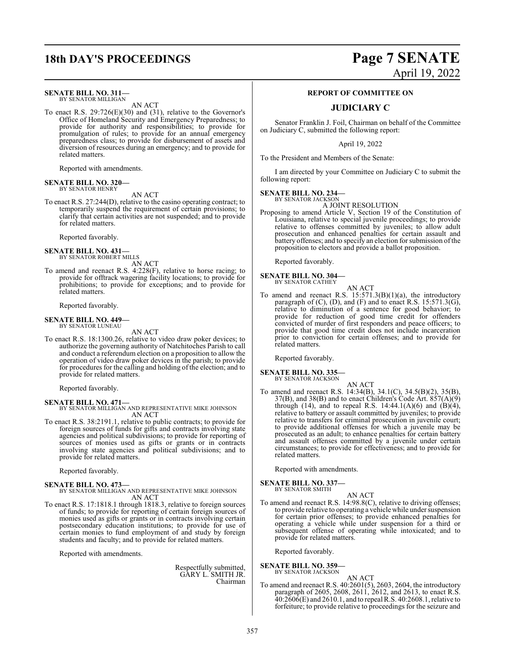### **18th DAY'S PROCEEDINGS Page 7 SENATE**

### **SENATE BILL NO. 311—**

BY SENATOR MILLIGAN AN ACT

To enact R.S. 29:726(E)(30) and (31), relative to the Governor's Office of Homeland Security and Emergency Preparedness; to provide for authority and responsibilities; to provide for promulgation of rules; to provide for an annual emergency preparedness class; to provide for disbursement of assets and diversion of resources during an emergency; and to provide for related matters.

Reported with amendments.

#### **SENATE BILL NO. 320—** BY SENATOR HENRY

AN ACT

To enact R.S. 27:244(D), relative to the casino operating contract; to temporarily suspend the requirement of certain provisions; to clarify that certain activities are not suspended; and to provide for related matters.

Reported favorably.

### **SENATE BILL NO. 431—** BY SENATOR ROBERT MILLS

AN ACT

To amend and reenact R.S. 4:228(F), relative to horse racing; to provide for offtrack wagering facility locations; to provide for prohibitions; to provide for exceptions; and to provide for related matters.

Reported favorably.

#### **SENATE BILL NO. 449—** BY SENATOR LUNEAU

AN ACT

To enact R.S. 18:1300.26, relative to video draw poker devices; to authorize the governing authority of Natchitoches Parish to call and conduct a referendum election on a proposition to allow the operation of video draw poker devices in the parish; to provide for procedures for the calling and holding of the election; and to provide for related matters.

Reported favorably.

### **SENATE BILL NO. 471—**

BY SENATOR MILLIGAN AND REPRESENTATIVE MIKE JOHNSON AN ACT

To enact R.S. 38:2191.1, relative to public contracts; to provide for foreign sources of funds for gifts and contracts involving state agencies and political subdivisions; to provide for reporting of sources of monies used as gifts or grants or in contracts involving state agencies and political subdivisions; and to provide for related matters.

Reported favorably.

### **SENATE BILL NO. 473—**

### BY SENATOR MILLIGAN AND REPRESENTATIVE MIKE JOHNSON AN ACT

To enact R.S. 17:1818.1 through 1818.3, relative to foreign sources of funds; to provide for reporting of certain foreign sources of monies used as gifts or grants or in contracts involving certain postsecondary education institutions; to provide for use of certain monies to fund employment of and study by foreign students and faculty; and to provide for related matters.

Reported with amendments.

Respectfully submitted, GARY L. SMITH JR. Chairman

# April 19, 2022

### **REPORT OF COMMITTEE ON**

### **JUDICIARY C**

Senator Franklin J. Foil, Chairman on behalf of the Committee on Judiciary C, submitted the following report:

April 19, 2022

To the President and Members of the Senate:

I am directed by your Committee on Judiciary C to submit the following report:

**SENATE BILL NO. 234—**

BY SENATOR JACKSON A JOINT RESOLUTION

Proposing to amend Article V, Section 19 of the Constitution of Louisiana, relative to special juvenile proceedings; to provide relative to offenses committed by juveniles; to allow adult prosecution and enhanced penalties for certain assault and battery offenses; and to specify an election for submission ofthe proposition to electors and provide a ballot proposition.

Reported favorably.

### **SENATE BILL NO. 304—**

BY SENATOR CATHEY

AN ACT To amend and reenact R.S.  $15:571.3(B)(1)(a)$ , the introductory paragraph of  $(C)$ ,  $(D)$ , and  $(F)$  and to enact R.S. 15:571.3(G), relative to diminution of a sentence for good behavior; to provide for reduction of good time credit for offenders convicted of murder of first responders and peace officers; to provide that good time credit does not include incarceration prior to conviction for certain offenses; and to provide for related matters.

Reported favorably.

#### **SENATE BILL NO. 335—** BY SENATOR JACKSON

AN ACT

To amend and reenact R.S. 14:34(B), 34.1(C), 34.5(B)(2), 35(B), 37(B), and 38(B) and to enact Children's Code Art. 857(A)(9) through (14), and to repeal R.S.  $14:44.1(A)(6)$  and  $(B)(4)$ , relative to battery or assault committed by juveniles; to provide relative to transfers for criminal prosecution in juvenile court; to provide additional offenses for which a juvenile may be prosecuted as an adult; to enhance penalties for certain battery and assault offenses committed by a juvenile under certain circumstances; to provide for effectiveness; and to provide for related matters.

Reported with amendments.

**SENATE BILL NO. 337—** BY SENATOR SMITH

AN ACT

To amend and reenact R.S. 14:98.8(C), relative to driving offenses; to provide relative to operating a vehicle while under suspension for certain prior offenses; to provide enhanced penalties for operating a vehicle while under suspension for a third or subsequent offense of operating while intoxicated; and to provide for related matters.

Reported favorably.

### **SENATE BILL NO. 359** BY SENATOR JACKSON

AN ACT

To amend and reenact R.S. 40:2601(5), 2603, 2604, the introductory paragraph of 2605, 2608, 2611, 2612, and 2613, to enact R.S. 40:2606(E) and 2610.1, and to repeal R.S. 40:2608.1, relative to forfeiture; to provide relative to proceedings for the seizure and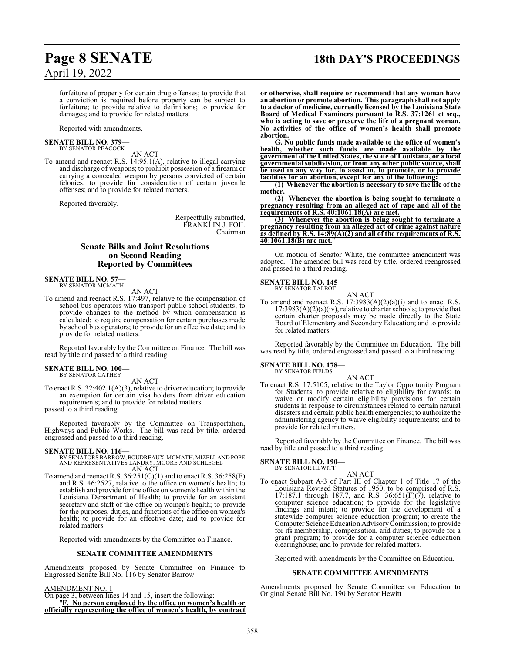## **Page 8 SENATE 18th DAY'S PROCEEDINGS**

forfeiture of property for certain drug offenses; to provide that a conviction is required before property can be subject to forfeiture; to provide relative to definitions; to provide for damages; and to provide for related matters.

Reported with amendments.

#### **SENATE BILL NO. 379—** BY SENATOR PEACOCK

AN ACT

To amend and reenact R.S. 14:95.1(A), relative to illegal carrying and discharge of weapons; to prohibit possession of a firearm or carrying a concealed weapon by persons convicted of certain felonies; to provide for consideration of certain juvenile offenses; and to provide for related matters.

Reported favorably.

Respectfully submitted, FRANKLIN J. FOIL Chairman

### **Senate Bills and Joint Resolutions on Second Reading Reported by Committees**

### **SENATE BILL NO. 57—**<br>BY SENATOR MCMATH

AN ACT

To amend and reenact R.S. 17:497, relative to the compensation of school bus operators who transport public school students; to provide changes to the method by which compensation is calculated; to require compensation for certain purchases made by school bus operators; to provide for an effective date; and to provide for related matters.

Reported favorably by the Committee on Finance. The bill was read by title and passed to a third reading.

### **SENATE BILL NO. 100—**

BY SENATOR CATHEY AN ACT

To enact R.S. 32:402.1(A)(3), relative to driver education; to provide an exemption for certain visa holders from driver education requirements; and to provide for related matters. passed to a third reading.

Reported favorably by the Committee on Transportation, Highways and Public Works. The bill was read by title, ordered engrossed and passed to a third reading.

**SENATE BILL NO. 116—** BY SENATORS BARROW,BOUDREAUX, MCMATH, MIZELLAND POPE AND REPRESENTATIVES LANDRY, MOORE AND SCHLEGEL AN ACT

To amend and reenact R.S. 36:251(C)(1) and to enact R.S. 36:258(E) and R.S. 46:2527, relative to the office on women's health; to establish and provide for the office on women's health within the Louisiana Department of Health; to provide for an assistant secretary and staff of the office on women's health; to provide for the purposes, duties, and functions of the office on women's health; to provide for an effective date; and to provide for related matters.

Reported with amendments by the Committee on Finance.

### **SENATE COMMITTEE AMENDMENTS**

Amendments proposed by Senate Committee on Finance to Engrossed Senate Bill No. 116 by Senator Barrow

### AMENDMENT NO. 1

On page 3, between lines 14 and 15, insert the following: "**F. No person employed by the office on women's health or officially representing the office of women's health, by contract** **or otherwise, shall require or recommend that any woman have an abortion or promote abortion. This paragraph shall not apply to a doctor of medicine, currently licensed by the Louisiana State Board of Medical Examiners pursuant to R.S. 37:1261 et seq., who is acting to save or preserve the life of a pregnant woman. No activities of the office of women's health shall promote abortion.**

**G. No public funds made available to the office of women's health, whether such funds are made available by the government of the United States, the state of Louisiana, or a local governmental subdivision, or from any other public source, shall be used in any way for, to assist in, to promote, or to provide facilities for an abortion, except for any of the following:**

**(1) Whenever the abortion is necessary to save the life of the mother.**

**(2) Whenever the abortion is being sought to terminate a pregnancy resulting from an alleged act of rape and all of the requirements of R.S. 40:1061.18(A) are met.**

**(3) Whenever the abortion is being sought to terminate a pregnancy resulting from an alleged act of crime against nature as defined by R.S. 14:89(A)(2) and all of the requirements of R.S. 40:1061.18(B) are met.**"

On motion of Senator White, the committee amendment was adopted. The amended bill was read by title, ordered reengrossed and passed to a third reading.

### **SENATE BILL NO. 145—**

BY SENATOR TALBOT

AN ACT To amend and reenact R.S.  $17:3983(A)(2)(a)(i)$  and to enact R.S.  $17:3983(A)(2)(a)(iv)$ , relative to charter schools; to provide that certain charter proposals may be made directly to the State Board of Elementary and Secondary Education; and to provide for related matters.

Reported favorably by the Committee on Education. The bill was read by title, ordered engrossed and passed to a third reading.

### **SENATE BILL NO. 178—** BY SENATOR FIELDS

AN ACT

To enact R.S. 17:5105, relative to the Taylor Opportunity Program for Students; to provide relative to eligibility for awards; to waive or modify certain eligibility provisions for certain students in response to circumstances related to certain natural disasters and certain public health emergencies; to authorize the administering agency to waive eligibility requirements; and to provide for related matters.

Reported favorably by the Committee on Finance. The bill was read by title and passed to a third reading.

## **SENATE BILL NO. 190—** BY SENATOR HEWITT

AN ACT

To enact Subpart A-3 of Part III of Chapter 1 of Title 17 of the Louisiana Revised Statutes of 1950, to be comprised of R.S. 17:187.1 through 187.7, and R.S.  $36:651(F)(7)$ , relative to computer science education; to provide for the legislative findings and intent; to provide for the development of a statewide computer science education program; to create the Computer Science Education AdvisoryCommission; to provide for its membership, compensation, and duties; to provide for a grant program; to provide for a computer science education clearinghouse; and to provide for related matters.

Reported with amendments by the Committee on Education.

### **SENATE COMMITTEE AMENDMENTS**

Amendments proposed by Senate Committee on Education to Original Senate Bill No. 190 by Senator Hewitt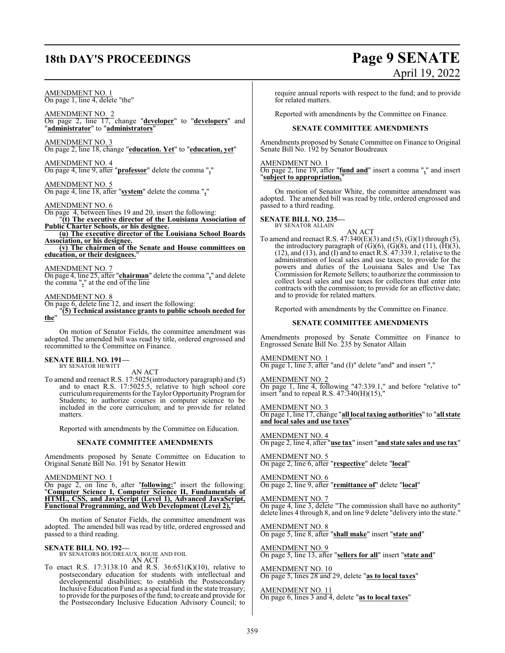## **18th DAY'S PROCEEDINGS Page 9 SENATE**

### AMENDMENT NO. 1

On page 1, line 4, delete "the"

AMENDMENT NO. 2 On page 2, line 17, change "**developer**" to "**developers**" and "**administrator**" to "**administrators**"

AMENDMENT NO. 3 On page 2, line 18, change "**education. Yet**" to "**education, yet**"

AMENDMENT NO. 4 On page 4, line 9, after "**professor**" delete the comma "**,**"

AMENDMENT NO. 5 On page 4, line 18, after "**system**" delete the comma "**,**"

### AMENDMENT NO. 6

On page 4, between lines 19 and 20, insert the following:

"**(t) The executive director of the Louisiana Association of Public Charter Schools, or his designee. (u) The executive director of the Louisiana School Boards**

**Association, or his designee. (v) The chairmen of the Senate and House committees on**

**education, or their designees.**"

### AMENDMENT NO. 7

On page 4, line 25, after "**chairman**" delete the comma "**,**" and delete the comma "**,**" at the end of the line

### AMENDMENT NO. 8

On page 6, delete line 12, and insert the following:

"**(5) Technical assistance grants to public schools needed for the**"

On motion of Senator Fields, the committee amendment was adopted. The amended bill was read by title, ordered engrossed and recommitted to the Committee on Finance.

#### **SENATE BILL NO. 191—** BY SENATOR HEWITT

AN ACT

To amend and reenact R.S. 17:5025(introductory paragraph) and (5) and to enact R.S. 17:5025.5, relative to high school core curriculum requirements for the Taylor Opportunity Program for Students; to authorize courses in computer science to be included in the core curriculum; and to provide for related matters.

Reported with amendments by the Committee on Education.

### **SENATE COMMITTEE AMENDMENTS**

Amendments proposed by Senate Committee on Education to Original Senate Bill No. 191 by Senator Hewitt

AMENDMENT NO. 1

On page 2, on line 6, after "**following:**" insert the following: "**Computer Science I, Computer Science II, Fundamentals of HTML, CSS, and JavaScript (Level 1), Advanced JavaScript, Functional Programming, and Web Development (Level 2),**"

On motion of Senator Fields, the committee amendment was adopted. The amended bill was read by title, ordered engrossed and passed to a third reading.

### **SENATE BILL NO. 192—**

BY SENATORS BOUDREAUX, BOUIE AND FOIL AN ACT

To enact R.S. 17:3138.10 and R.S. 36:651(K)(10), relative to postsecondary education for students with intellectual and developmental disabilities; to establish the Postsecondary Inclusive Education Fund as a special fund in the state treasury; to provide for the purposes of the fund; to create and provide for the Postsecondary Inclusive Education Advisory Council; to

require annual reports with respect to the fund; and to provide for related matters.

Reported with amendments by the Committee on Finance.

### **SENATE COMMITTEE AMENDMENTS**

Amendments proposed by Senate Committee on Finance to Original Senate Bill No. 192 by Senator Boudreaux

### AMENDMENT NO. 1

On page 2, line 19, after "**fund and**" insert a comma "**,**" and insert "**subject to appropriation,**"

On motion of Senator White, the committee amendment was adopted. The amended bill was read by title, ordered engrossed and passed to a third reading.

### **SENATE BILL NO. 235—** BY SENATOR ALLAIN

AN ACT

To amend and reenact R.S.  $47:340(E)(3)$  and  $(5)$ ,  $(G)(1)$  through  $(5)$ , the introductory paragraph of  $(G)(6)$ ,  $(G)(8)$ , and  $(11)$ ,  $(\overline{H})(3)$ , (12), and (13), and (I) and to enact R.S. 47:339.1, relative to the administration of local sales and use taxes; to provide for the powers and duties of the Louisiana Sales and Use Tax Commission for Remote Sellers; to authorize the commission to collect local sales and use taxes for collectors that enter into contracts with the commission; to provide for an effective date; and to provide for related matters.

Reported with amendments by the Committee on Finance.

### **SENATE COMMITTEE AMENDMENTS**

Amendments proposed by Senate Committee on Finance to Engrossed Senate Bill No. 235 by Senator Allain

### AMENDMENT NO. 1

On page 1, line 3, after "and (I)" delete "and" and insert ","

AMENDMENT NO. 2 On page 1, line 4, following "47:339.1," and before "relative to" insert "and to repeal R.S.  $47:340(H)(15)$ ,"

AMENDMENT NO. 3 On page 1, line 17, change "**all local taxing authorities**" to "**all state and local sales and use taxes**"

AMENDMENT NO. 4 On page 2, line 4, after "**use tax**" insert "**and state sales and use tax**"

AMENDMENT NO. 5 On page 2, line 6, after "**respective**" delete "**local**"

AMENDMENT NO. 6 On page 2, line 9, after "**remittance of**" delete "**local**"

AMENDMENT NO. 7 On page 4, line 3, delete "The commission shall have no authority" delete lines 4 through 8, and on line 9 delete "delivery into the state."

AMENDMENT NO. 8 On page 5, line 8, after "**shall make**" insert "**state and**"

AMENDMENT NO. 9 On page 5, line 13, after "**sellers for all**" insert "**state and**"

AMENDMENT NO. 10 On page 5, lines 28 and 29, delete "**as to local taxes**"

AMENDMENT NO. 11 On page 6, lines 3 and 4, delete "**as to local taxes**"

# April 19, 2022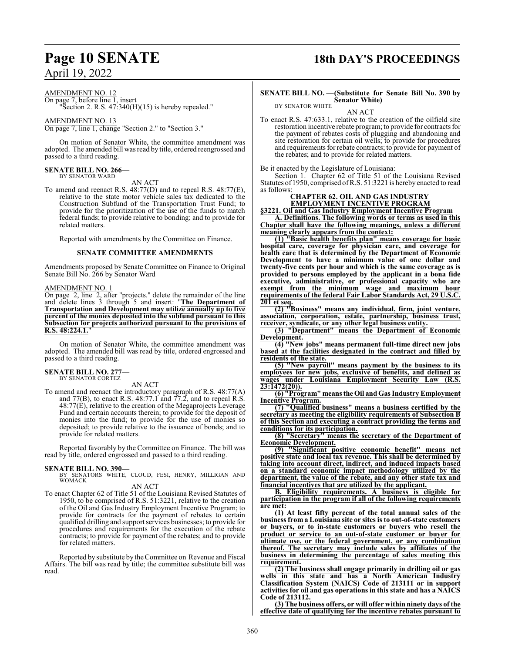AMENDMENT NO. 12

On page 7, before line 1, insert "Section 2. R.S.  $47:340(H)(15)$  is hereby repealed."

AMENDMENT NO. 13 On page 7, line 1, change "Section 2." to "Section 3."

On motion of Senator White, the committee amendment was adopted. The amended bill was read by title, ordered reengrossed and passed to a third reading.

#### **SENATE BILL NO. 266—** BY SENATOR WARD

AN ACT

To amend and reenact R.S. 48:77(D) and to repeal R.S. 48:77(E), relative to the state motor vehicle sales tax dedicated to the Construction Subfund of the Transportation Trust Fund; to provide for the prioritization of the use of the funds to match federal funds; to provide relative to bonding; and to provide for related matters.

Reported with amendments by the Committee on Finance.

### **SENATE COMMITTEE AMENDMENTS**

Amendments proposed by Senate Committee on Finance to Original Senate Bill No. 266 by Senator Ward

### AMENDMENT NO. 1

On page 2, line 2, after "projects." delete the remainder of the line and delete lines 3 through 5 and insert: "**The Department of Transportation and Development may utilize annually up to five percent of the monies deposited into the subfund pursuant to this Subsection for projects authorized pursuant to the provisions of R.S. 48:224.1.**"

On motion of Senator White, the committee amendment was adopted. The amended bill was read by title, ordered engrossed and passed to a third reading.

#### **SENATE BILL NO. 277—** BY SENATOR CORTEZ

AN ACT

To amend and reenact the introductory paragraph of R.S. 48:77(A) and  $77(B)$ , to enact R.S. 48:77.1 and  $77.2$ , and to repeal R.S. 48:77(E), relative to the creation of the Megaprojects Leverage Fund and certain accounts therein; to provide for the deposit of monies into the fund; to provide for the use of monies so deposited; to provide relative to the issuance of bonds; and to provide for related matters.

Reported favorably by the Committee on Finance. The bill was read by title, ordered engrossed and passed to a third reading.

### **SENATE BILL NO. 390—**

BY SENATORS WHITE, CLOUD, FESI, HENRY, MILLIGAN AND WOMACK

AN ACT

To enact Chapter 62 of Title 51 of the Louisiana Revised Statutes of 1950, to be comprised of R.S. 51:3221, relative to the creation of the Oil and Gas Industry Employment Incentive Program; to provide for contracts for the payment of rebates to certain qualified drilling and support services businesses; to provide for procedures and requirements for the execution of the rebate contracts; to provide for payment of the rebates; and to provide for related matters.

Reported by substitute by the Committee on Revenue and Fiscal Affairs. The bill was read by title; the committee substitute bill was read.

### **Page 10 SENATE 18th DAY'S PROCEEDINGS**

### **SENATE BILL NO. —(Substitute for Senate Bill No. 390 by Senator White)** BY SENATOR WHITE

AN ACT

To enact R.S. 47:633.1, relative to the creation of the oilfield site restoration incentive rebate program; to provide for contracts for the payment of rebates costs of plugging and abandoning and site restoration for certain oil wells; to provide for procedures and requirements for rebate contracts; to provide for payment of the rebates; and to provide for related matters.

Be it enacted by the Legislature of Louisiana:

Section 1. Chapter 62 of Title 51 of the Louisiana Revised Statutes of 1950, comprised ofR.S. 51:3221 is hereby enacted to read as follows:

### **CHAPTER 62. OIL AND GAS INDUSTRY EMPLOYMENT INCENTIVE PROGRAM**

**§3221. Oil and Gas Industry Employment Incentive Program A. Definitions. The following words or terms as used in this Chapter shall have the following meanings, unless a different**

**meaning clearly appears from the context: (1) "Basic health benefits plan" means coverage for basic hospital care, coverage for physician care, and coverage for health care that is determined by the Department of Economic Development to have a minimum value of one dollar and twenty-five cents per hour and which is the same coverage as is provided to persons employed by the applicant in a bona fide executive, administrative, or professional capacity who are exempt from the minimum wage and maximum hour requirements of the federal Fair Labor Standards Act, 29 U.S.C. 201 et seq.**

**(2) "Business" means any individual, firm, joint venture, association, corporation, estate, partnership, business trust, receiver, syndicate, or any other legal business entity.**

**(3) "Department" means the Department of Economic Development.**

**(4) "New jobs" means permanent full-time direct new jobs based at the facilities designated in the contract and filled by residents of the state.**

**(5) "New payroll" means payment by the business to its employees for new jobs, exclusive of benefits, and defined as wages under Louisiana Employment Security Law (R.S. 23:1472(20)).**

**(6) "Program" means the Oil andGas Industry Employment Incentive Program.**

**(7) "Qualified business" means a business certified by the secretary as meeting the eligibility requirements of Subsection B of this Section and executing a contract providing the terms and conditions for its participation.**

**(8) "Secretary" means the secretary of the Department of Economic Development.**

**(9) "Significant positive economic benefit" means net positive state and local tax revenue. This shall be determined by taking into account direct, indirect, and induced impacts based on a standard economic impact methodology utilized by the department, the value of the rebate, and any other state tax and financial incentives that are utilized by the applicant.**

**B. Eligibility requirements. A business is eligible for participation in the program if all of the following requirements are met:**

**(1) At least fifty percent of the total annual sales of the business from a Louisiana site or sites is to out-of-state customers or buyers, or to in-state customers or buyers who resell the product or service to an out-of-state customer or buyer for ultimate use, or the federal government, or any combination thereof. The secretary may include sales by affiliates of the business in determining the percentage of sales meeting this requirement.**

**(2) The business shall engage primarily in drilling oil or gas wells in this state and has a North American Industry Classification System (NAICS) Code of 213111 or in support activities for oil and gas operations in this state and has a NAICS Code of 213112.**

**(3) The business offers, or will offer within ninety days of the effective date of qualifying for the incentive rebates pursuant to**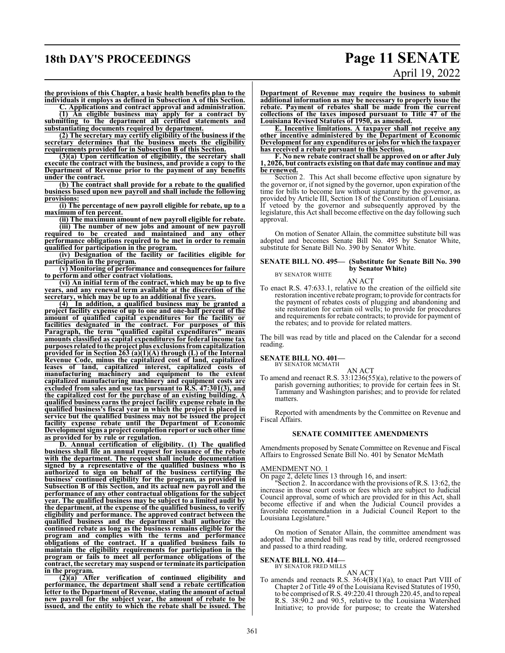### **18th DAY'S PROCEEDINGS Page 11 SENATE**

# April 19, 2022

**the provisions of this Chapter, a basic health benefits plan to the individuals it employs as defined in Subsection A of this Section.**

**C. Applications and contract approval and administration. (1) An eligible business may apply for a contract by**

**submitting to the department all certified statements and substantiating documents required by department.**

**(2) The secretary may certify eligibility of the business if the secretary determines that the business meets the eligibility requirements provided for in Subsection B of this Section.**

**(3)(a) Upon certification of eligibility, the secretary shall execute the contract with the business, and provide a copy to the Department of Revenue prior to the payment of any benefits under the contract.**

**(b) The contract shall provide for a rebate to the qualified business based upon new payroll and shall include the following provisions:**

**(i) The percentage of new payroll eligible for rebate, up to a maximum of ten percent.**

**(ii) The maximum amount of new payroll eligible for rebate. (iii) The number of new jobs and amount of new payroll**

**required to be created and maintained and any other performance obligations required to be met in order to remain qualified for participation in the program.**

**(iv) Designation of the facility or facilities eligible for participation in the program.**

**(v) Monitoring of performance and consequences for failure to perform and other contract violations.**

**(vi) An initial term of the contract, which may be up to five years, and any renewal term available at the discretion of the secretary, which may be up to an additional five years.**

**(4) In addition, a qualified business may be granted a project facility expense of up to one and one-half percent of the amount of qualified capital expenditures for the facility or facilities designated in the contract. For purposes of this Paragraph, the term "qualified capital expenditures" means amounts classified as capital expenditures for federal income tax purposes related to the project plus exclusions fromcapitalization provided for in Section 263 (a)(1)(A) through (L) of the Internal Revenue Code, minus the capitalized cost of land, capitalized leases of land, capitalized interest, capitalized costs of manufacturing machinery and equipment to the extent capitalized manufacturing machinery and equipment costs are excluded from sales and use tax pursuant to R.S. 47:301(3), and the capitalized cost for the purchase of an existing building. A qualified business earns the project facility expense rebate in the qualified business's fiscal year in which the project is placed in service but the qualified business may not be issued the project facility expense rebate until the Department of Economic Development signs a project completion report or such other time as provided for by rule or regulation.**

**D. Annual certification of eligibility. (1) The qualified business shall file an annual request for issuance of the rebate with the department. The request shall include documentation signed by a representative of the qualified business who is authorized to sign on behalf of the business certifying the business' continued eligibility for the program, as provided in Subsection B of this Section, and its actual new payroll and the performance of any other contractual obligations for the subject year. The qualified business may be subject to a limited audit by the department, at the expense of the qualified business, to verify eligibility and performance. The approved contract between the qualified business and the department shall authorize the continued rebate as long as the business remains eligible for the program and complies with the terms and performance obligations of the contract. If a qualified business fails to maintain the eligibility requirements for participation in the program or fails to meet all performance obligations of the contract, the secretary may suspend or terminate its participation in the program.**

**(2)(a) After verification of continued eligibility and performance, the department shall send a rebate certification letter to the Department of Revenue, stating the amount of actual new payroll for the subject year, the amount of rebate to be issued, and the entity to which the rebate shall be issued. The** **Department of Revenue may require the business to submit additional information as may be necessary to properly issue the rebate. Payment of rebates shall be made from the current collections of the taxes imposed pursuant to Title 47 of the Louisiana Revised Statutes of 1950, as amended.**

**E. Incentive limitations. A taxpayer shall not receive any other incentive administered by the Department of Economic Development for any expenditures or jobsfor which the taxpayer has received a rebate pursuant to this Section.**

**F. No new rebate contractshall be approved on or after July 1, 2026, but contracts existing on that date may continue and may be renewed.**

Section 2. This Act shall become effective upon signature by the governor or, if not signed by the governor, upon expiration of the time for bills to become law without signature by the governor, as provided by Article III, Section 18 of the Constitution of Louisiana. If vetoed by the governor and subsequently approved by the legislature, this Act shall become effective on the day following such approval.

On motion of Senator Allain, the committee substitute bill was adopted and becomes Senate Bill No. 495 by Senator White, substitute for Senate Bill No. 390 by Senator White.

#### **SENATE BILL NO. 495— (Substitute for Senate Bill No. 390 by Senator White)** BY SENATOR WHITE

AN ACT

To enact R.S. 47:633.1, relative to the creation of the oilfield site restoration incentive rebate program; to provide for contracts for the payment of rebates costs of plugging and abandoning and site restoration for certain oil wells; to provide for procedures and requirements for rebate contracts; to provide for payment of the rebates; and to provide for related matters.

The bill was read by title and placed on the Calendar for a second reading.

### **SENATE BILL NO. 401—** BY SENATOR MCMATH

AN ACT

To amend and reenact R.S. 33:1236(55)(a), relative to the powers of parish governing authorities; to provide for certain fees in St. Tammany and Washington parishes; and to provide for related matters.

Reported with amendments by the Committee on Revenue and Fiscal Affairs.

### **SENATE COMMITTEE AMENDMENTS**

Amendments proposed by Senate Committee on Revenue and Fiscal Affairs to Engrossed Senate Bill No. 401 by Senator McMath

### AMENDMENT NO. 1

On page 2, delete lines 13 through 16, and insert:

"Section 2. In accordance with the provisions of R.S. 13:62, the increase in those court costs or fees which are subject to Judicial Council approval, some of which are provided for in this Act, shall become effective if and when the Judicial Council provides a favorable recommendation in a Judicial Council Report to the Louisiana Legislature."

On motion of Senator Allain, the committee amendment was adopted. The amended bill was read by title, ordered reengrossed and passed to a third reading.

### **SENATE BILL NO. 414—** BY SENATOR FRED MILLS

AN ACT To amends and reenacts R.S. 36:4(B)(1)(a), to enact Part VIII of Chapter 2 of Title 49 of the Louisiana Revised Statutes of 1950, to be comprised ofR.S. 49:220.41 through 220.45, and to repeal R.S. 38:90.2 and 90.5, relative to the Louisiana Watershed Initiative; to provide for purpose; to create the Watershed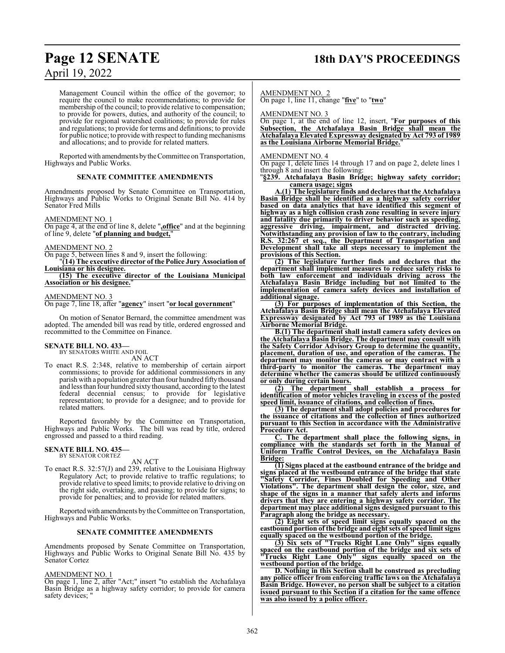### **Page 12 SENATE 18th DAY'S PROCEEDINGS**

Management Council within the office of the governor; to require the council to make recommendations; to provide for membership of the council; to provide relative to compensation; to provide for powers, duties, and authority of the council; to provide for regional watershed coalitions; to provide for rules and regulations; to provide for terms and definitions; to provide for public notice; to provide with respect to funding mechanisms and allocations; and to provide for related matters.

Reported with amendments bytheCommittee on Transportation, Highways and Public Works.

### **SENATE COMMITTEE AMENDMENTS**

Amendments proposed by Senate Committee on Transportation, Highways and Public Works to Original Senate Bill No. 414 by Senator Fred Mills

### AMENDMENT NO. 1

On page 4, at the end of line 8, delete "**,office**" and at the beginning of line 9, delete "**of planning and budget,**"

### AMENDMENT NO. 2

On page 5, between lines 8 and 9, insert the following:

"**(14) The executive director of the Police Jury Association of Louisiana or his designee.** 

**(15) The executive director of the Louisiana Municipal Association or his designee.**"

### AMENDMENT NO. 3

On page 7, line 18, after "**agency**" insert "**or local government**"

On motion of Senator Bernard, the committee amendment was adopted. The amended bill was read by title, ordered engrossed and recommitted to the Committee on Finance.

### **SENATE BILL NO. 433—** BY SENATORS WHITE AND FOIL

AN ACT

To enact R.S. 2:348, relative to membership of certain airport commissions; to provide for additional commissioners in any parish with a population greater than four hundred fifty thousand and less than four hundred sixty thousand, according to the latest federal decennial census; to provide for legislative representation; to provide for a designee; and to provide for related matters.

Reported favorably by the Committee on Transportation, Highways and Public Works. The bill was read by title, ordered engrossed and passed to a third reading.

#### **SENATE BILL NO. 435—** BY SENATOR CORTEZ

AN ACT

To enact R.S. 32:57(J) and 239, relative to the Louisiana Highway Regulatory Act; to provide relative to traffic regulations; to provide relative to speed limits; to provide relative to driving on the right side, overtaking, and passing; to provide for signs; to provide for penalties; and to provide for related matters.

Reported with amendments by the Committee on Transportation, Highways and Public Works.

### **SENATE COMMITTEE AMENDMENTS**

Amendments proposed by Senate Committee on Transportation, Highways and Public Works to Original Senate Bill No. 435 by Senator Cortez

### AMENDMENT NO. 1

On page 1, line 2, after "Act;" insert "to establish the Atchafalaya Basin Bridge as a highway safety corridor; to provide for camera safety devices;

### AMENDMENT NO. 2

On page 1, line 11, change "**five**" to "**two**"

AMENDMENT NO. 3

On page 1, at the end of line 12, insert, "**For purposes of this Subsection, the Atchafalaya Basin Bridge shall mean the Atchafalaya Elevated Expressway designated by Act 793 of 1989 as the Louisiana Airborne Memorial Bridge.**"

### AMENDMENT NO. 4

On page 1, delete lines 14 through 17 and on page 2, delete lines 1 through 8 and insert the following:

"**§239. Atchafalaya Basin Bridge; highway safety corridor; camera usage; signs**

**A.(1) The legislature finds and declares that the Atchafalaya Basin Bridge shall be identified as a highway safety corridor based on data analytics that have identified this segment of highway as a high collision crash zone resulting in severe injury and fatality due primarily to driver behavior such as speeding, aggressive driving, impairment, and distracted driving. Notwithstanding any provision of law to the contrary, including R.S. 32:267 et seq., the Department of Transportation and Development shall take all steps necessary to implement the provisions of this Section.**

**(2) The legislature further finds and declares that the department shall implement measures to reduce safety risks to both law enforcement and individuals driving across the Atchafalaya Basin Bridge including but not limited to the implementation of camera safety devices and installation of additional signage.**

**(3) For purposes of implementation of this Section, the Atchafalaya Basin Bridge shall mean the Atchafalaya Elevated Expressway designated by Act 793 of 1989 as the Louisiana Airborne Memorial Bridge.**

**B.(1) The department shall install camera safety devices on the Atchafalaya Basin Bridge. The department may consult with the Safety Corridor Advisory Group to determine the quantity, placement, duration of use, and operation of the cameras. The department may monitor the cameras or may contract with a third-party to monitor the cameras. The department may determine whether the cameras should be utilized continuously or only during certain hours.**

**(2) The department shall establish a process for identification of motor vehicles traveling in excess of the posted speed limit, issuance of citations, and collection of fines.**

**(3) The department shall adopt policies and procedures for the issuance of citations and the collection of fines authorized pursuant to this Section in accordance with the Administrative Procedure Act.**

**C. The department shall place the following signs, in compliance with the standards set forth in the Manual of Uniform Traffic Control Devices, on the Atchafalaya Basin Bridge:**

**(1) Signs placed at the eastbound entrance of the bridge and signs placed at the westbound entrance of the bridge that state "Safety Corridor, Fines Doubled for Speeding and Other Violations". The department shall design the color, size, and shape of the signs in a manner that safely alerts and informs drivers that they are entering a highway safety corridor. The department may place additional signs designed pursuant to this Paragraph along the bridge as necessary.**

**(2) Eight sets of speed limit signs equally spaced on the eastbound portion of the bridge and eight sets of speed limit signs equally spaced on the westbound portion of the bridge.**

**(3) Six sets of "Trucks Right Lane Only" signs equally spaced on the eastbound portion of the bridge and six sets of "Trucks Right Lane Only" signs equally spaced on the westbound portion of the bridge.**

**D. Nothing in this Section shall be construed as precluding any police officer from enforcing traffic laws on the Atchafalaya Basin Bridge. However, no person shall be subject to a citation issued pursuant to this Section if a citation for the same offence was also issued by a police officer.**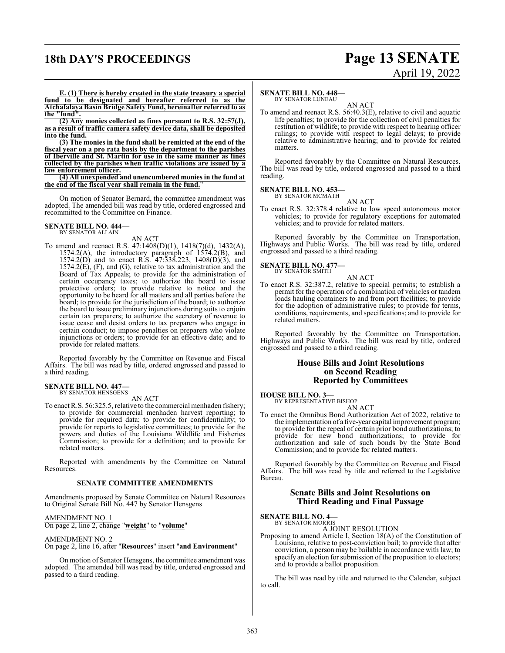### **18th DAY'S PROCEEDINGS Page 13 SENATE**

# April 19, 2022

**E. (1) There is hereby created in the state treasury a special fund to be designated and hereafter referred to as the Atchafalaya Basin Bridge Safety Fund, hereinafter referred to as the "fund".**

**(2) Any monies collected as fines pursuant to R.S. 32:57(J), as a result of traffic camera safety device data, shall be deposited into the fund.**

**(3) The monies in the fund shall be remitted at the end of the fiscal year on a pro rata basis by the department to the parishes of Iberville and St. Martin for use in the same manner as fines collected by the parishes when traffic violations are issued by a law enforcement officer.**

**(4) All unexpended and unencumbered monies in the fund at the end of the fiscal year shall remain in the fund.**"

On motion of Senator Bernard, the committee amendment was adopted. The amended bill was read by title, ordered engrossed and recommitted to the Committee on Finance.

#### **SENATE BILL NO. 444—** BY SENATOR ALLAIN

AN ACT

To amend and reenact R.S. 47:1408(D)(1), 1418(7)(d), 1432(A), 1574.2(A), the introductory paragraph of 1574.2(B), and 1574.2(D) and to enact R.S. 47:338.223, 1408(D)(3), and  $1574.2(E)$ , (F), and (G), relative to tax administration and the Board of Tax Appeals; to provide for the administration of certain occupancy taxes; to authorize the board to issue protective orders; to provide relative to notice and the opportunity to be heard for all matters and all parties before the board; to provide for the jurisdiction of the board; to authorize the board to issue preliminary injunctions during suits to enjoin certain tax preparers; to authorize the secretary of revenue to issue cease and desist orders to tax preparers who engage in certain conduct; to impose penalties on preparers who violate injunctions or orders; to provide for an effective date; and to provide for related matters.

Reported favorably by the Committee on Revenue and Fiscal Affairs. The bill was read by title, ordered engrossed and passed to a third reading.

### **SENATE BILL NO. 447—** BY SENATOR HENSGENS

AN ACT

To enact R.S. 56:325.5, relative to the commercial menhaden fishery; to provide for commercial menhaden harvest reporting; to provide for required data; to provide for confidentiality; to provide for reports to legislative committees; to provide for the powers and duties of the Louisiana Wildlife and Fisheries Commission; to provide for a definition; and to provide for related matters.

Reported with amendments by the Committee on Natural Resources.

### **SENATE COMMITTEE AMENDMENTS**

Amendments proposed by Senate Committee on Natural Resources to Original Senate Bill No. 447 by Senator Hensgens

### AMENDMENT NO. 1

On page 2, line 2, change "**weight**" to "**volume**"

### AMENDMENT NO. 2

On page 2, line 16, after "**Resources**" insert "**and Environment**"

On motion of Senator Hensgens, the committee amendment was adopted. The amended bill was read by title, ordered engrossed and passed to a third reading.

### **SENATE BILL NO. 448—**

BY SENATOR LUNEAU AN ACT

To amend and reenact R.S. 56:40.3(E), relative to civil and aquatic life penalties; to provide for the collection of civil penalties for restitution of wildlife; to provide with respect to hearing officer rulings; to provide with respect to legal delays; to provide relative to administrative hearing; and to provide for related matters.

Reported favorably by the Committee on Natural Resources. The bill was read by title, ordered engrossed and passed to a third reading.

### **SENATE BILL NO. 453—** BY SENATOR MCMATH

AN ACT

To enact R.S. 32:378.4 relative to low speed autonomous motor vehicles; to provide for regulatory exceptions for automated vehicles; and to provide for related matters.

Reported favorably by the Committee on Transportation, Highways and Public Works. The bill was read by title, ordered engrossed and passed to a third reading.

#### **SENATE BILL NO. 477—** BY SENATOR SMITH

AN ACT

To enact R.S. 32:387.2, relative to special permits; to establish a permit for the operation of a combination of vehicles or tandem loads hauling containers to and from port facilities; to provide for the adoption of administrative rules; to provide for terms, conditions, requirements, and specifications; and to provide for related matters.

Reported favorably by the Committee on Transportation, Highways and Public Works. The bill was read by title, ordered engrossed and passed to a third reading.

### **House Bills and Joint Resolutions on Second Reading Reported by Committees**

**HOUSE BILL NO. 3—** BY REPRESENTATIVE BISHOP

AN ACT

To enact the Omnibus Bond Authorization Act of 2022, relative to the implementation of a five-year capital improvement program; to provide for the repeal of certain prior bond authorizations; to provide for new bond authorizations; to provide for authorization and sale of such bonds by the State Bond Commission; and to provide for related matters.

Reported favorably by the Committee on Revenue and Fiscal Affairs. The bill was read by title and referred to the Legislative Bureau.

### **Senate Bills and Joint Resolutions on Third Reading and Final Passage**

### **SENATE BILL NO. 4—**<br>BY SENATOR MORRIS

A JOINT RESOLUTION

Proposing to amend Article I, Section 18(A) of the Constitution of Louisiana, relative to post-conviction bail; to provide that after conviction, a person may be bailable in accordance with law; to specify an election for submission of the proposition to electors; and to provide a ballot proposition.

The bill was read by title and returned to the Calendar, subject to call.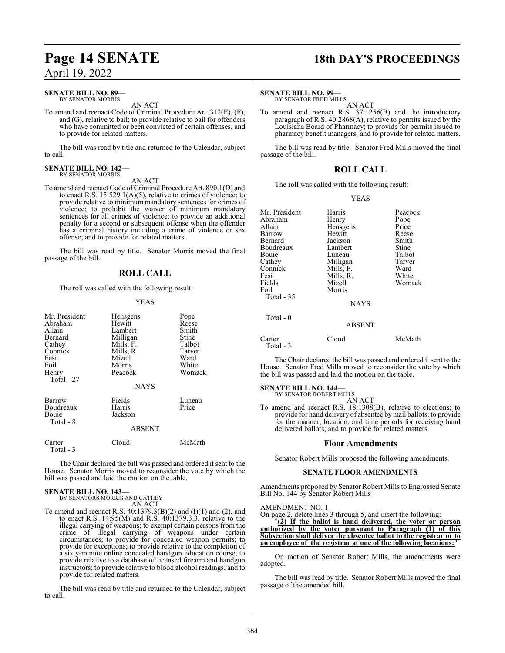### **SENATE BILL NO. 89—** BY SENATOR MORRIS

AN ACT

To amend and reenact Code of Criminal Procedure Art. 312(E), (F), and (G), relative to bail; to provide relative to bail for offenders who have committed or been convicted of certain offenses; and to provide for related matters.

The bill was read by title and returned to the Calendar, subject to call.

#### **SENATE BILL NO. 142—** BY SENATOR MORRIS

AN ACT

To amend and reenact Code of Criminal Procedure Art. 890.1(D) and to enact R.S.  $15:529.1(A)(5)$ , relative to crimes of violence; to provide relative to minimum mandatory sentences for crimes of violence; to prohibit the waiver of minimum mandatory sentences for all crimes of violence; to provide an additional penalty for a second or subsequent offense when the offender has a criminal history including a crime of violence or sex offense; and to provide for related matters.

The bill was read by title. Senator Morris moved the final passage of the bill.

### **ROLL CALL**

The roll was called with the following result:

### YEAS

| Mr. President<br>Abraham<br>Allain<br>Bernard<br>Cathey<br>Connick<br>Fesi<br>Foil<br>Henry<br>Total - 27 | Hensgens<br>Hewitt<br>Lambert<br>Milligan<br>Mills, F.<br>Mills, R.<br>Mizell<br>Morris<br>Peacock | Pope<br>Reese<br>Smith<br>Stine<br>Talbot<br>Tarver<br>Ward<br>White<br>Womack |
|-----------------------------------------------------------------------------------------------------------|----------------------------------------------------------------------------------------------------|--------------------------------------------------------------------------------|
|                                                                                                           | <b>NAYS</b>                                                                                        |                                                                                |
| Barrow<br>Boudreaux<br>Bouie<br>Total - 8                                                                 | Fields<br>Harris<br>Jackson<br><b>ABSENT</b>                                                       | Luneau<br>Price                                                                |
|                                                                                                           |                                                                                                    |                                                                                |
| Carter<br>Total - 3                                                                                       | Cloud                                                                                              | McMath                                                                         |

The Chair declared the bill was passed and ordered it sent to the House. Senator Morris moved to reconsider the vote by which the bill was passed and laid the motion on the table.

### **SENATE BILL NO. 143—**

BY SENATORS MORRIS AND CATHEY AN ACT

To amend and reenact R.S. 40:1379.3(B)(2) and (I)(1) and (2), and to enact R.S. 14:95(M) and R.S. 40:1379.3.3, relative to the illegal carrying of weapons; to exempt certain persons from the crime of illegal carrying of weapons under certain circumstances; to provide for concealed weapon permits; to provide for exceptions; to provide relative to the completion of a sixty-minute online concealed handgun education course; to provide relative to a database of licensed firearm and handgun instructors; to provide relative to blood alcohol readings; and to provide for related matters.

The bill was read by title and returned to the Calendar, subject to call.

## **Page 14 SENATE 18th DAY'S PROCEEDINGS**

### **SENATE BILL NO. 99—**

BY SENATOR FRED MILLS AN ACT

To amend and reenact R.S. 37:1256(B) and the introductory paragraph of R.S. 40:2868(A), relative to permits issued by the Louisiana Board of Pharmacy; to provide for permits issued to pharmacy benefit managers; and to provide for related matters.

The bill was read by title. Senator Fred Mills moved the final passage of the bill.

### **ROLL CALL**

The roll was called with the following result:

### YEAS

| Mr. President       | Harris        | Peacock |
|---------------------|---------------|---------|
| Abraham             | Henry         | Pope    |
| Allain              |               |         |
|                     | Hensgens      | Price   |
| Barrow              | Hewitt        | Reese   |
| Bernard             | Jackson       | Smith   |
| Boudreaux           | Lambert       | Stine   |
| Bouie               | Luneau        | Talbot  |
| Cathey              | Milligan      | Tarver  |
| Connick             | Mills, F.     | Ward    |
| Fesi                | Mills, R.     | White   |
| Fields              | Mizell        | Womack  |
| Foil                | Morris        |         |
| Total - 35          |               |         |
|                     | <b>NAYS</b>   |         |
| Total $-0$          |               |         |
|                     | <b>ABSENT</b> |         |
| Carter<br>Total - 3 | Cloud         | McMath  |

The Chair declared the bill was passed and ordered it sent to the House. Senator Fred Mills moved to reconsider the vote by which the bill was passed and laid the motion on the table.

### **SENATE BILL NO. 144—** BY SENATOR ROBERT MILLS

AN ACT

To amend and reenact R.S. 18:1308(B), relative to elections; to provide for hand delivery of absentee bymail ballots; to provide for the manner, location, and time periods for receiving hand delivered ballots; and to provide for related matters.

### **Floor Amendments**

Senator Robert Mills proposed the following amendments.

### **SENATE FLOOR AMENDMENTS**

Amendments proposed by Senator Robert Mills to Engrossed Senate Bill No. 144 by Senator Robert Mills

### AMENDMENT NO. 1

On page 2, delete lines 3 through 5, and insert the following:

"**(2) If the ballot is hand delivered, the voter or person authorized by the voter pursuant to Paragraph (1) of this Subsection shall deliver the absentee ballot to the registrar or to an employee of the registrar at one of the following locations:**"

On motion of Senator Robert Mills, the amendments were adopted.

The bill was read by title. Senator Robert Mills moved the final passage of the amended bill.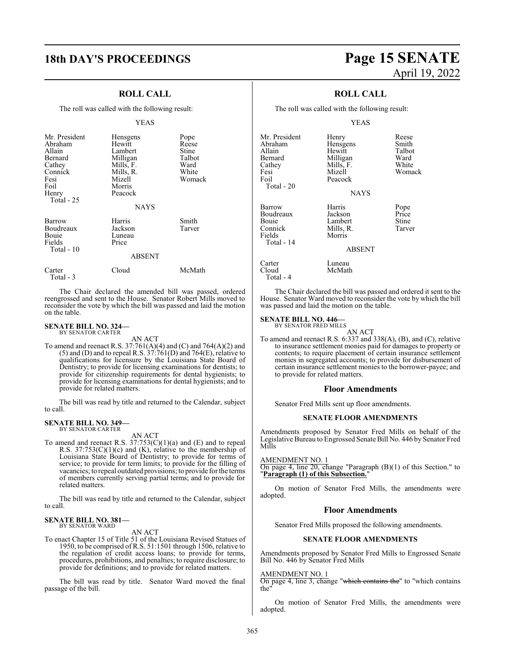### **ROLL CALL**

The roll was called with the following result:

### YEAS

| Mr. President<br>Abraham<br>Allain<br>Bernard<br>Cathey<br>Connick<br>Fesi<br>Foil<br>Henry<br>Total - 25 | Hensgens<br>Hewitt<br>Lambert<br>Milligan<br>Mills, F.<br>Mills, R.<br>Mizell<br>Morris<br>Peacock<br><b>NAYS</b> | Pope<br>Reese<br>Stine<br>Talbot<br>Ward<br>White<br>Womack |
|-----------------------------------------------------------------------------------------------------------|-------------------------------------------------------------------------------------------------------------------|-------------------------------------------------------------|
| Barrow<br>Boudreaux<br>Bouie<br>Fields<br>Total - 10                                                      | Harris<br>Jackson<br>Luneau<br>Price<br><b>ABSENT</b>                                                             | Smith<br>Tarver                                             |
| Carter                                                                                                    | Cloud                                                                                                             | McMath                                                      |

The Chair declared the amended bill was passed, ordered reengrossed and sent to the House. Senator Robert Mills moved to reconsider the vote by which the bill was passed and laid the motion on the table.

### **SENATE BILL NO. 324—** BY SENATOR CARTER

Total - 3

AN ACT

To amend and reenact R.S. 37:761(A)(4) and (C) and 764(A)(2) and  $(5)$  and  $(D)$  and to repeal R.S.  $37:761(D)$  and  $764(E)$ , relative to qualifications for licensure by the Louisiana State Board of Dentistry; to provide for licensing examinations for dentists; to provide for citizenship requirements for dental hygienists; to provide for licensing examinations for dental hygienists; and to provide for related matters.

The bill was read by title and returned to the Calendar, subject to call.

#### **SENATE BILL NO. 349—** BY SENATOR CARTER

AN ACT

To amend and reenact R.S.  $37:753(C)(1)(a)$  and (E) and to repeal R.S.  $37:753(C)(1)(c)$  and (K), relative to the membership of Louisiana State Board of Dentistry; to provide for terms of service; to provide for term limits; to provide for the filling of vacancies; to repeal outdated provisions; to provide for the terms of members currently serving partial terms; and to provide for related matters.

The bill was read by title and returned to the Calendar, subject to call.

#### **SENATE BILL NO. 381—** BY SENATOR WARD

AN ACT

To enact Chapter 15 of Title 51 of the Louisiana Revised Statues of 1950, to be comprised of R.S. 51:1501 through 1506, relative to the regulation of credit access loans; to provide for terms, procedures, prohibitions, and penalties; to require disclosure; to provide for definitions; and to provide for related matters.

The bill was read by title. Senator Ward moved the final passage of the bill.

## **18th DAY'S PROCEEDINGS Page 15 SENATE** April 19, 2022

### **ROLL CALL**

The roll was called with the following result:

### YEAS

| Mr. President<br>Abraham<br>Allain<br>Bernard<br>Cathey<br>Fesi<br>Foil<br>Total - 20 | Henry<br>Hensgens<br>Hewitt<br>Milligan<br>Mills, F.<br>Mizell<br>Peacock<br><b>NAYS</b> | Reese<br>Smith<br>Talbot<br>Ward<br>White<br>Womack |
|---------------------------------------------------------------------------------------|------------------------------------------------------------------------------------------|-----------------------------------------------------|
| Barrow<br>Boudreaux<br><b>Bouje</b><br>Connick<br>Fields<br>Total - 14                | Harris<br>Jackson<br>Lambert<br>Mills, R.<br>Morris<br><b>ABSENT</b>                     | Pope<br>Price<br>Stine<br>Tarver                    |
| Carter<br>Cloud                                                                       | Luneau<br>McMath                                                                         |                                                     |

The Chair declared the bill was passed and ordered it sent to the House. Senator Ward moved to reconsider the vote by which the bill was passed and laid the motion on the table.

### **SENATE BILL NO. 446—**

Total - 4

AN ACT To amend and reenact R.S. 6:337 and 338(A), (B), and (C), relative to insurance settlement monies paid for damages to property or contents; to require placement of certain insurance settlement monies in segregated accounts; to provide for disbursement of certain insurance settlement monies to the borrower-payee; and to provide for related matters.

### **Floor Amendments**

Senator Fred Mills sent up floor amendments.

### **SENATE FLOOR AMENDMENTS**

Amendments proposed by Senator Fred Mills on behalf of the Legislative Bureau to Engrossed Senate Bill No. 446 by Senator Fred Mills

### AMENDMENT NO. 1

On page 4, line 20, change "Paragraph (B)(1) of this Section." to "**Paragraph (1) of this Subsection.**"

On motion of Senator Fred Mills, the amendments were adopted.

### **Floor Amendments**

Senator Fred Mills proposed the following amendments.

### **SENATE FLOOR AMENDMENTS**

Amendments proposed by Senator Fred Mills to Engrossed Senate Bill No. 446 by Senator Fred Mills

### AMENDMENT NO. 1

On page 4, line 3, change "which contains the" to "which contains the"

On motion of Senator Fred Mills, the amendments were adopted.

BY SENATOR FRED MILLS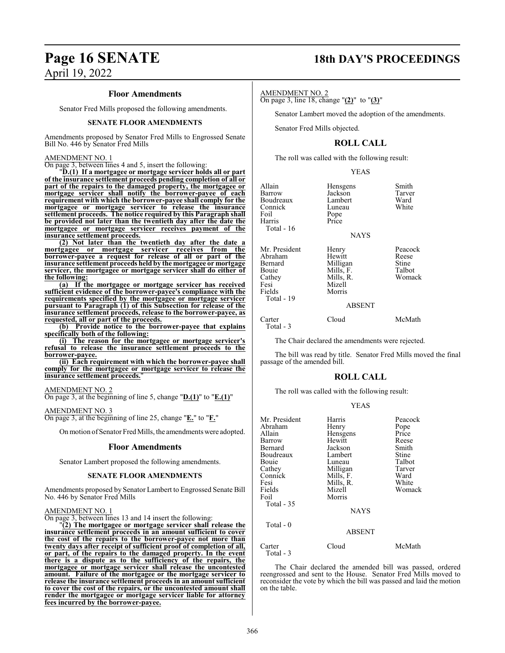### **Page 16 SENATE 18th DAY'S PROCEEDINGS**

### **Floor Amendments**

Senator Fred Mills proposed the following amendments.

### **SENATE FLOOR AMENDMENTS**

Amendments proposed by Senator Fred Mills to Engrossed Senate Bill No. 446 by Senator Fred Mills

### AMENDMENT NO. 1

On page 3, between lines 4 and 5, insert the following:

"**D.(1) If a mortgagee or mortgage servicer holds all or part of the insurance settlement proceeds pending completion of all or part of the repairs to the damaged property, the mortgagee or mortgage servicer shall notify the borrower-payee of each requirement with which the borrower-payee shall comply for the mortgagee or mortgage servicer to release the insurance settlement proceeds. The notice required by this Paragraph shall be provided not later than the twentieth day after the date the mortgagee or mortgage servicer receives payment of the insurance settlement proceeds.**

**(2) Not later than the twentieth day after the date a mortgagee or mortgage servicer receives from the borrower-payee a request for release of all or part of the insurance settlement proceeds held by the mortgagee or mortgage servicer, the mortgagee or mortgage servicer shall do either of the following:**

**(a) If the mortgagee or mortgage servicer has received sufficient evidence of the borrower-payee's compliance with the requirements specified by the mortgagee or mortgage servicer pursuant to Paragraph (1) of this Subsection for release of the insurance settlement proceeds, release to the borrower-payee, as requested, all or part of the proceeds.**

**(b) Provide notice to the borrower-payee that explains specifically both of the following:**

**(i) The reason for the mortgagee or mortgage servicer's refusal to release the insurance settlement proceeds to the borrower-payee.**

**(ii) Each requirement with which the borrower-payee shall comply for the mortgagee or mortgage servicer to release the insurance settlement proceeds.**"

### AMENDMENT NO. 2

On page 3, at the beginning of line 5, change "**D.(1)**" to "**E.(1)**"

#### AMENDMENT NO. 3

On page 3, at the beginning of line 25, change "**E.**" to "**F.**"

Onmotion ofSenator Fred Mills, the amendments were adopted.

### **Floor Amendments**

Senator Lambert proposed the following amendments.

### **SENATE FLOOR AMENDMENTS**

Amendments proposed by Senator Lambert to Engrossed Senate Bill No. 446 by Senator Fred Mills

### AMENDMENT NO. 1

On page 3, between lines 13 and 14 insert the following:

"**(2) The mortgagee or mortgage servicer shall release the insurance settlement proceeds in an amount sufficient to cover the cost of the repairs to the borrower-payee not more than twenty days after receipt of sufficient proof of completion of all, or part, of the repairs to the damaged property. In the event there is a dispute as to the sufficiency of the repairs, the mortgagee or mortgage servicer shall release the uncontested amount. Failure of the mortgagee or the mortgage servicer to release the insurance settlement proceeds in an amount sufficient to cover the cost of the repairs, or the uncontested amount shall render the mortgagee or mortgage servicer liable for attorney fees incurred by the borrower-payee.**

### AMENDMENT NO. 2

On page 3, line 18, change "**(2)**" to "**(3)**"

Senator Lambert moved the adoption of the amendments.

Senator Fred Mills objected.

### **ROLL CALL**

The roll was called with the following result:

### YEAS

| Allain<br>Barrow<br>Boudreaux<br>Connick<br>Foil<br>Harris<br>Total - 16               | Hensgens<br>Jackson<br>Lambert<br>Luneau<br>Pope<br>Price<br><b>NAYS</b>                   | Smith<br>Tarver<br>Ward<br>White              |
|----------------------------------------------------------------------------------------|--------------------------------------------------------------------------------------------|-----------------------------------------------|
| Mr. President<br>Abraham<br>Bernard<br>Bouie<br>Cathey<br>Fesi<br>Fields<br>Total - 19 | Henry<br>Hewitt<br>Milligan<br>Mills, F.<br>Mills, R.<br>Mizell<br>Morris<br><b>ABSENT</b> | Peacock<br>Reese<br>Stine<br>Talbot<br>Womack |
| Carter<br>Total - 3                                                                    | Cloud                                                                                      | McMath                                        |

The Chair declared the amendments were rejected.

The bill was read by title. Senator Fred Mills moved the final passage of the amended bill.

### **ROLL CALL**

The roll was called with the following result:

#### YEAS

| Mr. President<br>Abraham<br>Allain<br>Barrow<br>Bernard<br>Boudreaux<br>Bouie<br>Cathey<br>Connick<br>Fesi<br>Fields<br>Foil<br>Total - 35 | Harris<br>Henry<br>Hensgens<br>Hewitt<br>Jackson<br>Lambert<br>Luneau<br>Milligan<br>Mills, F.<br>Mills, R.<br>Mizell<br>Morris<br><b>NAYS</b> | Peacock<br>Pope<br>Price<br>Reese<br>Smith<br>Stine<br>Talbot<br>Tarver<br>Ward<br>White<br>Womack |
|--------------------------------------------------------------------------------------------------------------------------------------------|------------------------------------------------------------------------------------------------------------------------------------------------|----------------------------------------------------------------------------------------------------|
| Total - 0                                                                                                                                  | <b>ABSENT</b>                                                                                                                                  |                                                                                                    |
| Carter                                                                                                                                     | Cloud                                                                                                                                          | McMath                                                                                             |

The Chair declared the amended bill was passed, ordered reengrossed and sent to the House. Senator Fred Mills moved to reconsider the vote by which the bill was passed and laid the motion on the table.

Total - 3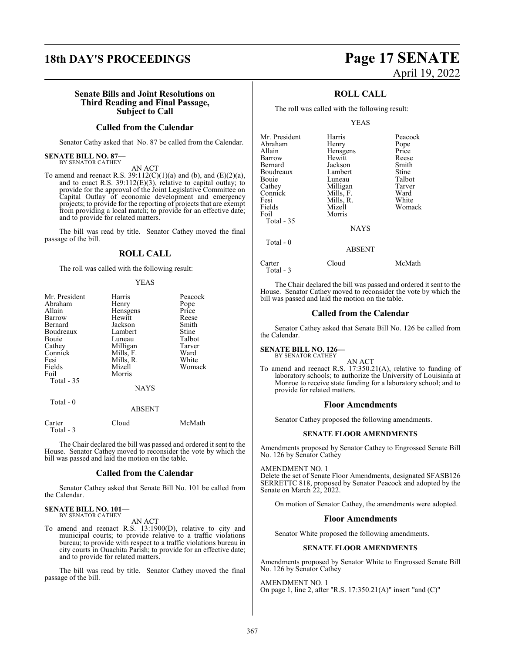### **18th DAY'S PROCEEDINGS Page 17 SENATE**

### **Senate Bills and Joint Resolutions on Third Reading and Final Passage, Subject to Call**

### **Called from the Calendar**

Senator Cathy asked that No. 87 be called from the Calendar.

#### **SENATE BILL NO. 87—** BY SENATOR CATHEY

AN ACT

To amend and reenact R.S.  $39:112(C)(1)(a)$  and (b), and (E)(2)(a), and to enact R.S.  $39:112(E)(3)$ , relative to capital outlay; to provide for the approval of the Joint Legislative Committee on Capital Outlay of economic development and emergency projects; to provide for the reporting of projects that are exempt from providing a local match; to provide for an effective date; and to provide for related matters.

The bill was read by title. Senator Cathey moved the final passage of the bill.

### **ROLL CALL**

The roll was called with the following result:

### YEAS

| Mr. President | Harris      | Peacock |
|---------------|-------------|---------|
| Abraham       | Henry       | Pope    |
| Allain        | Hensgens    | Price   |
| Barrow        | Hewitt      | Reese   |
| Bernard       | Jackson     | Smith   |
| Boudreaux     | Lambert     | Stine   |
| Bouie         | Luneau      | Talbot  |
| Cathey        | Milligan    | Tarver  |
| Connick       | Mills, F.   | Ward    |
| Fesi          | Mills, R.   | White   |
| Fields        | Mizell      | Womack  |
| Foil          | Morris      |         |
| Total $-35$   |             |         |
|               | <b>NAYS</b> |         |
| Total - 0     |             |         |
|               | ABSENT      |         |
|               |             |         |

| Carter     | Cloud | McMath |
|------------|-------|--------|
| Total $-3$ |       |        |

The Chair declared the bill was passed and ordered it sent to the House. Senator Cathey moved to reconsider the vote by which the bill was passed and laid the motion on the table.

### **Called from the Calendar**

Senator Cathey asked that Senate Bill No. 101 be called from the Calendar.

#### **SENATE BILL NO. 101—** BY SENATOR CATHEY

AN ACT

To amend and reenact R.S. 13:1900(D), relative to city and municipal courts; to provide relative to a traffic violations bureau; to provide with respect to a traffic violations bureau in city courts in Ouachita Parish; to provide for an effective date; and to provide for related matters.

The bill was read by title. Senator Cathey moved the final passage of the bill.

# April 19, 2022

### **ROLL CALL**

The roll was called with the following result:

YEAS

| Mr. President | Harris        | Peacock |
|---------------|---------------|---------|
|               |               |         |
| Abraham       | Henry         | Pope    |
| Allain        | Hensgens      | Price   |
| Barrow        | Hewitt        | Reese   |
| Bernard       | Jackson       | Smith   |
| Boudreaux     | Lambert       | Stine   |
| Bouie         | Luneau        | Talbot  |
| Cathey        | Milligan      | Tarver  |
| Connick       | Mills, F.     | Ward    |
| Fesi          | Mills, R.     | White   |
| Fields        | Mizell        | Womack  |
| Foil          | Morris        |         |
| Total - 35    |               |         |
|               | <b>NAYS</b>   |         |
| Total $-0$    |               |         |
|               | <b>ABSENT</b> |         |
|               |               |         |

| Carter    | Cloud | McMath |
|-----------|-------|--------|
| Total - 3 |       |        |

The Chair declared the bill was passed and ordered it sent to the House. Senator Cathey moved to reconsider the vote by which the bill was passed and laid the motion on the table.

### **Called from the Calendar**

Senator Cathey asked that Senate Bill No. 126 be called from the Calendar.

### **SENATE BILL NO. 126—** BY SENATOR CATHEY

AN ACT To amend and reenact R.S. 17:350.21(A), relative to funding of laboratory schools; to authorize the University of Louisiana at Monroe to receive state funding for a laboratory school; and to provide for related matters.

### **Floor Amendments**

Senator Cathey proposed the following amendments.

### **SENATE FLOOR AMENDMENTS**

Amendments proposed by Senator Cathey to Engrossed Senate Bill No. 126 by Senator Cathey

### AMENDMENT NO. 1

Delete the set of Senate Floor Amendments, designated SFASB126 SERRETTC 818, proposed by Senator Peacock and adopted by the Senate on March 22, 2022.

On motion of Senator Cathey, the amendments were adopted.

### **Floor Amendments**

Senator White proposed the following amendments.

### **SENATE FLOOR AMENDMENTS**

Amendments proposed by Senator White to Engrossed Senate Bill No. 126 by Senator Cathey

AMENDMENT NO. 1 On page 1, line 2, after "R.S. 17:350.21(A)" insert "and (C)"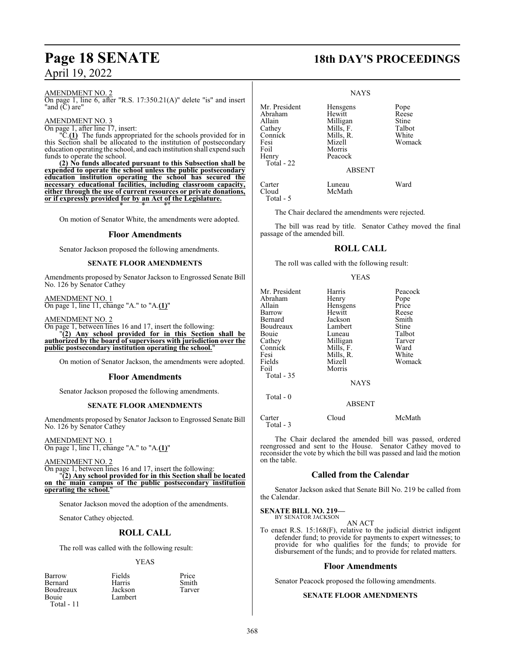### AMENDMENT NO. 2

On page 1, line 6, after "R.S. 17:350.21(A)" delete "is" and insert "and (C) are"

### AMENDMENT NO. 3

On page 1, after line 17, insert:

"C.**(1)** The funds appropriated for the schools provided for in this Section shall be allocated to the institution of postsecondary education operating the school, and each institution shall expend such funds to operate the school.

**(2) No funds allocated pursuant to this Subsection shall be expended to operate the school unless the public postsecondary education institution operating the school has secured the necessary educational facilities, including classroom capacity, either through the use of current resources or private donations, or if expressly provided for by an Act of the Legislature.** \* \* \*"

On motion of Senator White, the amendments were adopted.

### **Floor Amendments**

Senator Jackson proposed the following amendments.

### **SENATE FLOOR AMENDMENTS**

Amendments proposed by Senator Jackson to Engrossed Senate Bill No. 126 by Senator Cathey

AMENDMENT NO. 1 On page 1, line 11, change "A." to "A.**(1)**"

AMENDMENT NO. 2

On page 1, between lines 16 and 17, insert the following: "**(2) Any school provided for in this Section shall be authorized by the board of supervisors with jurisdiction over the**

**public postsecondary institution operating the school.**"

On motion of Senator Jackson, the amendments were adopted.

### **Floor Amendments**

Senator Jackson proposed the following amendments.

### **SENATE FLOOR AMENDMENTS**

Amendments proposed by Senator Jackson to Engrossed Senate Bill No. 126 by Senator Cathey

AMENDMENT NO. 1 On page 1, line 11, change "A." to "A.**(1)**"

AMENDMENT NO. 2

On page 1, between lines 16 and 17, insert the following:

"**(2) Any school provided for in this Section shall be located on the main campus of the public postsecondary institution operating the school.** 

Senator Jackson moved the adoption of the amendments.

Senator Cathey objected.

### **ROLL CALL**

The roll was called with the following result:

### YEAS

| Barrow         | Fields  | Price  |
|----------------|---------|--------|
| <b>Bernard</b> | Harris  | Smith  |
| Boudreaux      | Jackson | Tarver |
| Bouie          | Lambert |        |
| $T = 1.1$      |         |        |

Total - 11

## **Page 18 SENATE 18th DAY'S PROCEEDINGS**

### NAYS

| Mr. President | Hensgens      | Pope   |
|---------------|---------------|--------|
| Abraham       | Hewitt        | Reese  |
| Allain        | Milligan      | Stine  |
| Cathey        | Mills, F.     | Talbot |
| Connick       | Mills, R.     | White  |
| Fesi          | Mizell        | Womack |
| Foil          | Morris        |        |
| Henry         | Peacock       |        |
| Total - 22    |               |        |
|               | <b>ABSENT</b> |        |
| Carter        | Luneau        | Ward   |
| Cloud         | McMath        |        |
| Total - 5     |               |        |

The Chair declared the amendments were rejected.

The bill was read by title. Senator Cathey moved the final passage of the amended bill.

### **ROLL CALL**

The roll was called with the following result:

### YEAS

| Mr. President<br>Abraham<br>Allain<br>Barrow<br><b>Bernard</b><br>Boudreaux<br>Bouie<br>Cathey<br>Connick<br>Fesi<br>Fields<br>Foil<br>Total $-35$ | Harris<br>Henry<br>Hensgens<br>Hewitt<br>Jackson<br>Lambert<br>Luneau<br>Milligan<br>Mills, F.<br>Mills, R.<br>Mizell<br>Morris<br><b>NAYS</b> | Peacock<br>Pope<br>Price<br>Reese<br>Smith<br>Stine<br>Talbot<br>Tarver<br>Ward<br>White<br>Womack |
|----------------------------------------------------------------------------------------------------------------------------------------------------|------------------------------------------------------------------------------------------------------------------------------------------------|----------------------------------------------------------------------------------------------------|
| Total $-0$                                                                                                                                         | <b>ABSENT</b>                                                                                                                                  |                                                                                                    |

Carter Cloud McMath Total - 3

The Chair declared the amended bill was passed, ordered reengrossed and sent to the House. Senator Cathey moved to reconsider the vote by which the bill was passed and laid the motion on the table.

### **Called from the Calendar**

Senator Jackson asked that Senate Bill No. 219 be called from the Calendar.

#### **SENATE BILL NO. 219—** BY SENATOR JACKSON

AN ACT

To enact R.S. 15:168(F), relative to the judicial district indigent defender fund; to provide for payments to expert witnesses; to provide for who qualifies for the funds; to provide for disbursement of the funds; and to provide for related matters.

### **Floor Amendments**

Senator Peacock proposed the following amendments.

### **SENATE FLOOR AMENDMENTS**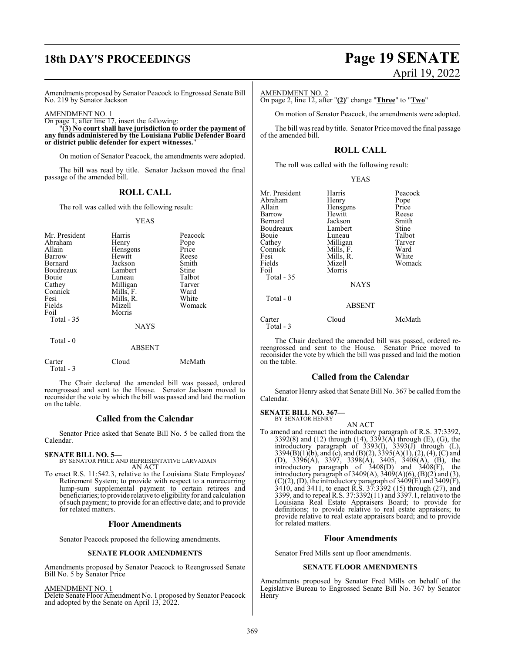## **18th DAY'S PROCEEDINGS Page 19 SENATE**

# April 19, 2022

Amendments proposed by Senator Peacock to Engrossed Senate Bill No. 219 by Senator Jackson

AMENDMENT NO. 1

On page 1, after line 17, insert the following: "**(3) No court shall have jurisdiction to order the payment of any funds administered by the Louisiana Public Defender Board or district public defender for expert witnesses.**"

On motion of Senator Peacock, the amendments were adopted.

The bill was read by title. Senator Jackson moved the final passage of the amended bill.

### **ROLL CALL**

The roll was called with the following result:

### YEAS

| Mr. President<br>Abraham<br>Allain<br>Barrow<br>Bernard<br>Boudreaux<br>Bouie<br>Cathey<br>Connick<br>Fesi<br>Fields<br>Foil<br>Total $-35$ | Harris<br>Henry<br>Hensgens<br>Hewitt<br>Jackson<br>Lambert<br>Luneau<br>Milligan<br>Mills, F.<br>Mills, R.<br>Mizell<br>Morris<br><b>NAYS</b> | Peacock<br>Pope<br>Price<br>Reese<br>Smith<br>Stine<br>Talbot<br>Tarver<br>Ward<br>White<br>Womack |
|---------------------------------------------------------------------------------------------------------------------------------------------|------------------------------------------------------------------------------------------------------------------------------------------------|----------------------------------------------------------------------------------------------------|
| Total $-0$                                                                                                                                  | <b>ABSENT</b>                                                                                                                                  |                                                                                                    |
| Carter                                                                                                                                      | Cloud                                                                                                                                          | McMath                                                                                             |

The Chair declared the amended bill was passed, ordered reengrossed and sent to the House. Senator Jackson moved to reconsider the vote by which the bill was passed and laid the motion on the table.

### **Called from the Calendar**

Senator Price asked that Senate Bill No. 5 be called from the Calendar.

**SENATE BILL NO. 5—**

Total - 3

BY SENATOR PRICE AND REPRESENTATIVE LARVADAIN AN ACT

To enact R.S. 11:542.3, relative to the Louisiana State Employees' Retirement System; to provide with respect to a nonrecurring lump-sum supplemental payment to certain retirees and beneficiaries; to provide relative to eligibility for and calculation ofsuch payment; to provide for an effective date; and to provide for related matters.

### **Floor Amendments**

Senator Peacock proposed the following amendments.

### **SENATE FLOOR AMENDMENTS**

Amendments proposed by Senator Peacock to Reengrossed Senate Bill No. 5 by Senator Price

AMENDMENT NO. 1

Delete Senate Floor Amendment No. 1 proposed by Senator Peacock and adopted by the Senate on April 13, 2022.

### AMENDMENT NO. 2

On page 2, line 12, after "**(2)**" change "**Three**" to "**Two**"

On motion of Senator Peacock, the amendments were adopted.

The bill was read by title. Senator Price moved the final passage of the amended bill.

### **ROLL CALL**

YEAS

The roll was called with the following result:

| Mr. President<br>Abraham<br>Allain<br>Barrow<br>Bernard<br>Boudreaux<br>Bouie<br>Cathey<br>Connick<br>Fesi<br>Fields<br>Foil<br>Total $-35$ | Harris<br>Henry<br>Hensgens<br>Hewitt<br>Jackson<br>Lambert<br>Luneau<br>Milligan<br>Mills, F.<br>Mills, R.<br>Mizell<br>Morris | Peacock<br>Pope<br>Price<br>Reese<br>Smith<br>Stine<br>Talbot<br>Tarver<br>Ward<br>White<br>Womack |
|---------------------------------------------------------------------------------------------------------------------------------------------|---------------------------------------------------------------------------------------------------------------------------------|----------------------------------------------------------------------------------------------------|
| Total $-0$                                                                                                                                  | NAYS<br><b>ABSENT</b>                                                                                                           |                                                                                                    |
| Carter<br>Total - 3                                                                                                                         | Cloud                                                                                                                           | McMath                                                                                             |

The Chair declared the amended bill was passed, ordered rereengrossed and sent to the House. Senator Price moved to reconsider the vote by which the bill was passed and laid the motion on the table.

### **Called from the Calendar**

Senator Henry asked that Senate Bill No. 367 be called from the Calendar.

**SENATE BILL NO. 367—** BY SENATOR HENRY

AN ACT

To amend and reenact the introductory paragraph of R.S. 37:3392, 3392(8) and (12) through (14), 3393(A) through (E), (G), the introductory paragraph of 3393(I), 3393(J) through (L), 3394(B)(1)(b), and (c), and (B)(2), 3395(A)(1), (2), (4), (C) and (D), 3396(A), 3397, 3398(A), 3405, 3408(A), (B), the introductory paragraph of 3408(D) and 3408(F), the introductory paragraph of  $3409(A)$ ,  $3409(A)(6)$ ,  $(B)(2)$  and  $(3)$ ,  $(C)(2)$ ,  $(D)$ , the introductory paragraph of 3409 $(E)$  and 3409 $(F)$ , 3410, and 3411, to enact R.S. 37:3392 (15) through (27), and 3399, and to repeal R.S. 37:3392(11) and 3397.1, relative to the Louisiana Real Estate Appraisers Board; to provide for definitions; to provide relative to real estate appraisers; to provide relative to real estate appraisers board; and to provide for related matters.

### **Floor Amendments**

Senator Fred Mills sent up floor amendments.

### **SENATE FLOOR AMENDMENTS**

Amendments proposed by Senator Fred Mills on behalf of the Legislative Bureau to Engrossed Senate Bill No. 367 by Senator Henry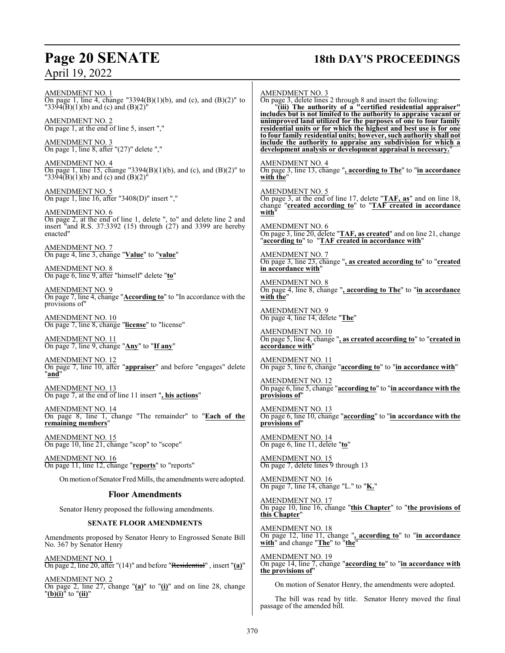## **Page 20 SENATE 18th DAY'S PROCEEDINGS**

AMENDMENT NO. 1 On page 1, line 4, change "3394(B)(1)(b), and (c), and (B)(2)" to "3394(B)(1)(b) and (c) and (B)(2)" AMENDMENT NO. 2 On page 1, at the end of line 5, insert "," AMENDMENT NO. 3 On page 1, line 8, after "(27)" delete "," AMENDMENT NO. 4 On page 1, line 15, change "3394(B)(1)(b), and (c), and (B)(2)" to  $"3394(B)(1)(b)$  and (c) and  $(B)(2)$ " AMENDMENT NO. 5 On page 1, line 16, after "3408(D)" insert "," AMENDMENT NO. 6 On page 2, at the end of line 1, delete ", to" and delete line 2 and insert "and R.S. 37:3392 (15) through (27) and 3399 are hereby enacted" AMENDMENT NO. 7 On page 4, line 3, change "**Value**" to "**value**" AMENDMENT NO. 8 On page 6, line 9, after "himself" delete "**to**" AMENDMENT NO. 9 On page 7, line 4, change "**According to**" to "In accordance with the provisions of" AMENDMENT NO. 10 On page 7, line 8, change "**license**" to "license" AMENDMENT NO. 11 On page 7, line 9, change "**Any**" to "**If any**" AMENDMENT NO. 12 On page 7, line 10, after "**appraiser**" and before "engages" delete "**and**" AMENDMENT NO. 13 On page 7, at the end of line 11 insert "**, his actions**" AMENDMENT NO. 14 On page 8, line 1, change "The remainder" to "**Each of the remaining members**" AMENDMENT NO. 15 On page 10, line 21, change "scop" to "scope" AMENDMENT NO. 16 On page 11, line 12, change "**reports**" to "reports" Onmotion ofSenator Fred Mills, the amendments were adopted. **Floor Amendments** Senator Henry proposed the following amendments. AMENDMENT NO. 3 On page 3, delete lines 2 through 8 and insert the following: "**(iii) The authority of a "certified residential appraiser" includes but is not limited to the authority to appraise vacant or unimproved land utilized for the purposes of one to four family residential units or for which the highest and best use is for one to four family residential units; however, such authority shall not include the authority to appraise any subdivision for which a** AMENDMENT NO. 4 **with the**" AMENDMENT NO. 5 **with**" AMENDMENT NO. 6 AMENDMENT NO. 7 **in accordance with**" AMENDMENT NO. 8 **with the**" AMENDMENT NO. 9 On page 4, line 14, delete "**The**" AMENDMENT NO. 10 **accordance with**" AMENDMENT NO. 11 AMENDMENT NO. 12 **provisions of**" AMENDMENT NO. 13 **provisions of**" AMENDMENT NO. 14 On page 6, line 11, delete "**to**" AMENDMENT NO. 15 On page 7, delete lines 9 through 13 AMENDMENT NO. 16 On page 7, line 14, change "L." to "**K.**" AMENDMENT NO. 17

### **SENATE FLOOR AMENDMENTS**

Amendments proposed by Senator Henry to Engrossed Senate Bill No. 367 by Senator Henry

AMENDMENT NO. 1 On page 2, line 20, after "(14)" and before "Residential" , insert "**(a)**"

AMENDMENT NO. 2 On page 2, line 27, change "**(a)**" to "**(i)**" and on line 28, change "**(b)(i)**" to "**(ii)**"

**development analysis or development appraisal is necessary.**" On page 3, line 13, change "**, according to The**" to "**in accordance** On page 3, at the end of line 17, delete "**TAF, as**" and on line 18, change "**created according to**" to "**TAF created in accordance** On page 3, line 20, delete "**TAF, as created**" and on line 21, change "**according to**" to "**TAF created in accordance with**" On page 3, line 23, change "**, as created according to**" to "**created** On page 4, line 8, change "**, according to The**" to "**in accordance** On page 5, line 4, change "**, as created according to**" to "**created in** On page 5, line 6, change "**according to**" to "**in accordance with**" On page 6, line 5, change "**according to**" to "**in accordance with the** On page 6, line 10, change "**according**" to "**in accordance with the** On page 10, line 16, change "**this Chapter**" to "**the provisions of this Chapter**" AMENDMENT NO. 18 On page 12, line 11, change "**, according to**" to "**in accordance with**" and change "**The**" to "**the**"

AMENDMENT NO. 19 On page 14, line 7, change "**according to**" to "**in accordance with the provisions of**"

On motion of Senator Henry, the amendments were adopted.

The bill was read by title. Senator Henry moved the final passage of the amended bill.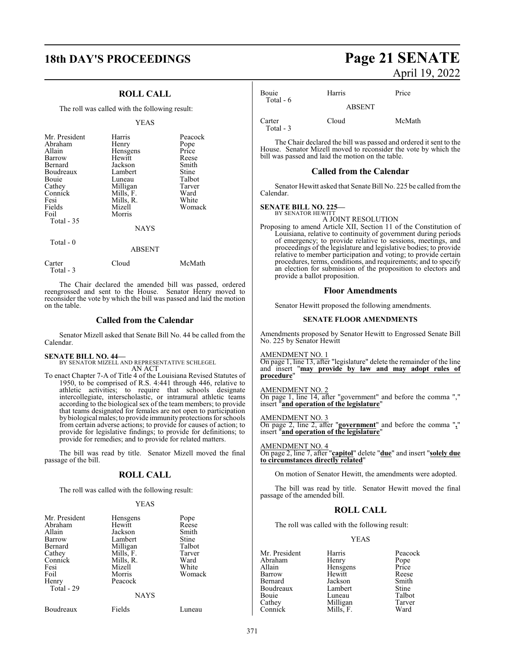### **18th DAY'S PROCEEDINGS Page 21 SENATE**

### **ROLL CALL**

The roll was called with the following result:

### YEAS

| Mr. President<br>Abraham<br>Allain<br>Barrow<br>Bernard<br>Boudreaux<br>Bouie<br>Cathey<br>Connick | Harris<br>Henry<br>Hensgens<br>Hewitt<br>Jackson<br>Lambert<br>Luneau<br>Milligan<br>Mills, F. | Peacock<br>Pope<br>Price<br>Reese<br>Smith<br>Stine<br>Talbot<br>Tarver<br>Ward |
|----------------------------------------------------------------------------------------------------|------------------------------------------------------------------------------------------------|---------------------------------------------------------------------------------|
| Fields<br>Foil<br>Total $-35$                                                                      | Mizell<br>Morris<br><b>NAYS</b>                                                                | Womack                                                                          |
| Total - 0                                                                                          | ABSENT                                                                                         |                                                                                 |

| Carter<br>Total - 3 | Cloud | McMath |
|---------------------|-------|--------|

The Chair declared the amended bill was passed, ordered reengrossed and sent to the House. Senator Henry moved to reconsider the vote by which the bill was passed and laid the motion on the table.

### **Called from the Calendar**

Senator Mizell asked that Senate Bill No. 44 be called from the Calendar.

**SENATE BILL NO. 44—** BY SENATOR MIZELL AND REPRESENTATIVE SCHLEGEL AN ACT

To enact Chapter 7-A of Title 4 of the Louisiana Revised Statutes of 1950, to be comprised of R.S. 4:441 through 446, relative to athletic activities; to require that schools designate intercollegiate, interscholastic, or intramural athletic teams according to the biological sex of the team members; to provide that teams designated for females are not open to participation bybiological males; to provide immunity protections for schools from certain adverse actions; to provide for causes of action; to provide for legislative findings; to provide for definitions; to provide for remedies; and to provide for related matters.

The bill was read by title. Senator Mizell moved the final passage of the bill.

### **ROLL CALL**

The roll was called with the following result:

### YEAS

| Mr. President<br>Abraham<br>Allain<br>Barrow<br>Bernard<br>Cathey<br>Connick<br>Fesi<br>Foil<br>Henry<br>Total - 29 | Hensgens<br>Hewitt<br>Jackson<br>Lambert<br>Milligan<br>Mills, F.<br>Mills, R.<br>Mizell<br>Morris<br>Peacock | Pope<br>Reese<br>Smith<br>Stine<br>Talbot<br>Tarver<br>Ward<br>White<br>Womack |
|---------------------------------------------------------------------------------------------------------------------|---------------------------------------------------------------------------------------------------------------|--------------------------------------------------------------------------------|
|                                                                                                                     | <b>NAYS</b>                                                                                                   |                                                                                |

Boudreaux Fields Luneau

# April 19, 2022

| Bouie<br>Total $-6$ | Harris        | Price  |
|---------------------|---------------|--------|
|                     | <b>ABSENT</b> |        |
| Carter<br>Total - 3 | Cloud         | McMath |

The Chair declared the bill was passed and ordered it sent to the House. Senator Mizell moved to reconsider the vote by which the bill was passed and laid the motion on the table.

### **Called from the Calendar**

Senator Hewitt asked that Senate Bill No. 225 be called fromthe Calendar.

#### **SENATE BILL NO. 225—** BY SENATOR HEWITT

- A JOINT RESOLUTION
- Proposing to amend Article XII, Section 11 of the Constitution of Louisiana, relative to continuity of government during periods of emergency; to provide relative to sessions, meetings, and proceedings of the legislature and legislative bodies; to provide relative to member participation and voting; to provide certain procedures, terms, conditions, and requirements; and to specify an election for submission of the proposition to electors and provide a ballot proposition.

### **Floor Amendments**

Senator Hewitt proposed the following amendments.

### **SENATE FLOOR AMENDMENTS**

Amendments proposed by Senator Hewitt to Engrossed Senate Bill No. 225 by Senator Hewitt

AMENDMENT NO. 1

On page 1, line 13, after "legislature" delete the remainder of the line and insert "**may provide by law and may adopt rules of procedure**"

### AMENDMENT NO. 2

On page 1, line 14, after "government" and before the comma "," insert "**and operation of the legislature**"

### AMENDMENT NO. 3

On page 2, line 2, after "**government**" and before the comma "**,**" insert "**and operation of the legislature**"

AMENDMENT NO. 4 On page 2, line 7, after "**capitol**" delete "**due**" and insert "**solely due to circumstances directly related**"

On motion of Senator Hewitt, the amendments were adopted.

The bill was read by title. Senator Hewitt moved the final passage of the amended bill.

### **ROLL CALL**

The roll was called with the following result:

### YEAS

Mr. President Harris Peacock<br>Abraham Henry Pope Abraham Henry Pope<br>
Allain Hensgens Price Allain **Hensgens** Price<br> **Barrow** Hewitt Reese Barrow Hewitt Reese<br>Bernard Jackson Smith Jackson Smith<br>Lambert Stine Boudreaux Lambert Stine<br>
Bouie Luneau Talbot Bouie Luneau Talbot<br>Cathey Milligan Tarver Milligan Tarve<br>
Mills, F. Ward Connick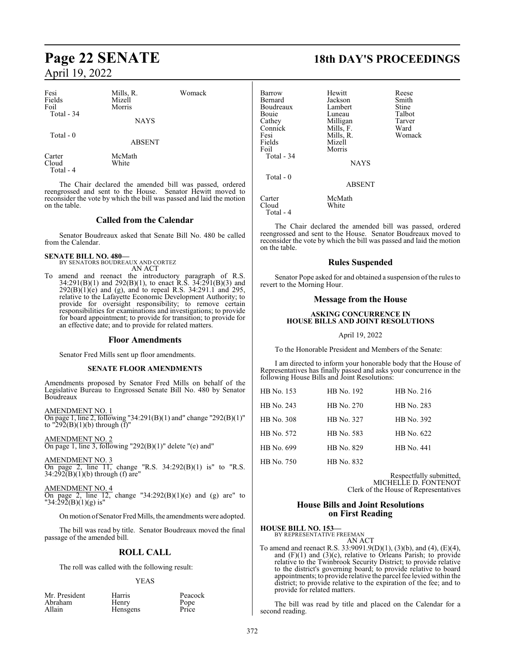| Fesi<br>Fields<br>Foil<br>Total - 34 | Mills, R.<br>Mizell<br>Morris<br><b>NAYS</b> | Womack                                                  |
|--------------------------------------|----------------------------------------------|---------------------------------------------------------|
| Total $-0$                           | <b>ABSENT</b>                                |                                                         |
| Carter<br>Cloud<br>Total - 4         | McMath<br>White                              |                                                         |
|                                      |                                              | The Chair declared the amended bill was passed, ordered |

reengrossed and sent to the House. Senator Hewitt moved to reconsider the vote by which the bill was passed and laid the motion on the table.

### **Called from the Calendar**

Senator Boudreaux asked that Senate Bill No. 480 be called from the Calendar.

### **SENATE BILL NO. 480—** BY SENATORS BOUDREAUX AND CORTEZ

AN ACT

To amend and reenact the introductory paragraph of R.S. 34:291(B)(1) and 292(B)(1), to enact R.S. 34:291(B)(3) and  $292(B)(1)(e)$  and (g), and to repeal R.S. 34:291.1 and 295, relative to the Lafayette Economic Development Authority; to provide for oversight responsibility; to remove certain responsibilities for examinations and investigations; to provide for board appointment; to provide for transition; to provide for an effective date; and to provide for related matters.

### **Floor Amendments**

Senator Fred Mills sent up floor amendments.

### **SENATE FLOOR AMENDMENTS**

Amendments proposed by Senator Fred Mills on behalf of the Legislative Bureau to Engrossed Senate Bill No. 480 by Senator Boudreaux

AMENDMENT NO. 1 On page 1, line 2, following "34:291(B)(1) and" change "292(B)(1)" to "292(B)(1)(b) through (f)"

AMENDMENT NO. 2 On page 1, line 3, following "292(B)(1)" delete "(e) and"

AMENDMENT NO. 3 On page 2, line 11, change "R.S. 34:292(B)(1) is" to "R.S.  $34:292(B)(1)(b)$  through (f) are"

AMENDMENT NO. 4

On page 2, line  $12$ , change "34:292(B)(1)(e) and (g) are" to "34:292(B)(1)(g) is"

On motion of Senator Fred Mills, the amendments were adopted.

The bill was read by title. Senator Boudreaux moved the final passage of the amended bill.

### **ROLL CALL**

The roll was called with the following result:

### YEAS

| Mr. President |  |
|---------------|--|
| Abraham       |  |
| Allain        |  |

Harris Peacock<br>
Henry Pope Henry Pope<br>
Hensgens Price Hensgens

**Page 22 SENATE 18th DAY'S PROCEEDINGS**

| <b>Barrow</b><br>Bernard<br>Boudreaux<br><b>Bouje</b><br>Cathey<br>Connick<br>Fesi<br>Fields<br>Foil<br>Total - 34<br>$Total - 0$ | Hewitt<br>Jackson<br>Lambert<br>Luneau<br>Milligan<br>Mills, F.<br>Mills, R.<br>Mizell<br>Morris<br><b>NAYS</b><br><b>ABSENT</b> | Reese<br>Smith<br>Stine<br>Talbot<br>Tarver<br>Ward<br>Womack |
|-----------------------------------------------------------------------------------------------------------------------------------|----------------------------------------------------------------------------------------------------------------------------------|---------------------------------------------------------------|
| Carter<br>Cloud<br>Total - 4                                                                                                      | McMath<br>White                                                                                                                  |                                                               |

The Chair declared the amended bill was passed, ordered reengrossed and sent to the House. Senator Boudreaux moved to reconsider the vote by which the bill was passed and laid the motion on the table.

### **Rules Suspended**

Senator Pope asked for and obtained a suspension of the rules to revert to the Morning Hour.

### **Message from the House**

### **ASKING CONCURRENCE IN HOUSE BILLS AND JOINT RESOLUTIONS**

### April 19, 2022

To the Honorable President and Members of the Senate:

I am directed to inform your honorable body that the House of Representatives has finally passed and asks your concurrence in the following House Bills and Joint Resolutions:

| HB No. 153 | HB No. 192 | HB No. 216 |
|------------|------------|------------|
| HB No. 243 | HB No. 270 | HB No. 283 |
| HB No. 308 | HB No. 327 | HB No. 392 |
| HB No. 572 | HB No. 583 | HB No. 622 |
| HB No. 699 | HB No. 829 | HB No. 441 |
| HB No. 750 | HB No. 832 |            |

Respectfully submitted, MICHELLE D. FONTENOT Clerk of the House of Representatives

### **House Bills and Joint Resolutions on First Reading**

**HOUSE BILL NO. 153—**

BY REPRESENTATIVE FREEMAN AN ACT

To amend and reenact R.S. 33:9091.9(D)(1), (3)(b), and (4), (E)(4), and (F)(1) and (3)(c), relative to Orleans Parish; to provide relative to the Twinbrook Security District; to provide relative to the district's governing board; to provide relative to board appointments; to provide relative the parcel fee levied within the district; to provide relative to the expiration of the fee; and to provide for related matters.

The bill was read by title and placed on the Calendar for a second reading.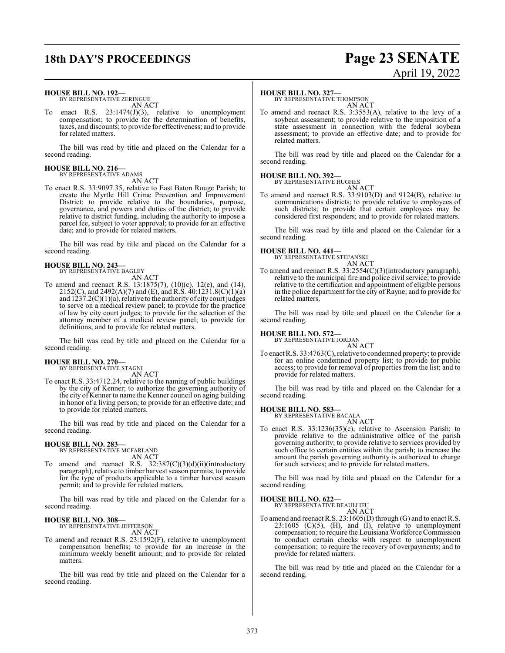### **18th DAY'S PROCEEDINGS Page 23 SENATE**

# April 19, 2022

### **HOUSE BILL NO. 192—**

BY REPRESENTATIVE ZERINGUE AN ACT

enact R.S.  $23:1474(J)(3)$ , relative to unemployment compensation; to provide for the determination of benefits, taxes, and discounts; to provide for effectiveness; and to provide for related matters.

The bill was read by title and placed on the Calendar for a second reading.

#### **HOUSE BILL NO. 216—** BY REPRESENTATIVE ADAMS

AN ACT

To enact R.S. 33:9097.35, relative to East Baton Rouge Parish; to create the Myrtle Hill Crime Prevention and Improvement District; to provide relative to the boundaries, purpose, governance, and powers and duties of the district; to provide relative to district funding, including the authority to impose a parcel fee, subject to voter approval; to provide for an effective date; and to provide for related matters.

The bill was read by title and placed on the Calendar for a second reading.

### **HOUSE BILL NO. 243—** BY REPRESENTATIVE BAGLEY

AN ACT

To amend and reenact R.S. 13:1875(7), (10)(c), 12(e), and (14), 2152(C), and 2492(A)(7) and (E), and R.S. 40:1231.8(C)(1)(a) and 1237.2(C)(1)(a), relative to the authority of city court judges to serve on a medical review panel; to provide for the practice of law by city court judges; to provide for the selection of the attorney member of a medical review panel; to provide for definitions; and to provide for related matters.

The bill was read by title and placed on the Calendar for a second reading.

## **HOUSE BILL NO. 270—** BY REPRESENTATIVE STAGNI

AN ACT

To enact R.S. 33:4712.24, relative to the naming of public buildings by the city of Kenner; to authorize the governing authority of the city of Kenner to name the Kenner council on aging building in honor of a living person; to provide for an effective date; and to provide for related matters.

The bill was read by title and placed on the Calendar for a second reading.

### **HOUSE BILL NO. 283—**

BY REPRESENTATIVE MCFARLAND AN ACT

To amend and reenact R.S. 32:387(C)(3)(d)(ii)(introductory paragraph), relative to timber harvest season permits; to provide for the type of products applicable to a timber harvest season permit; and to provide for related matters.

The bill was read by title and placed on the Calendar for a second reading.

### **HOUSE BILL NO. 308—**

BY REPRESENTATIVE JEFFERSON AN ACT

To amend and reenact R.S. 23:1592(F), relative to unemployment compensation benefits; to provide for an increase in the minimum weekly benefit amount; and to provide for related matters.

The bill was read by title and placed on the Calendar for a second reading.

### **HOUSE BILL NO. 327—**

BY REPRESENTATIVE THOMPSON AN ACT

To amend and reenact R.S. 3:3553(A), relative to the levy of a soybean assessment; to provide relative to the imposition of a state assessment in connection with the federal soybean assessment; to provide an effective date; and to provide for related matters.

The bill was read by title and placed on the Calendar for a second reading.

### **HOUSE BILL NO. 392—**

BY REPRESENTATIVE HUGHES

AN ACT To amend and reenact R.S. 33:9103(D) and 9124(B), relative to communications districts; to provide relative to employees of such districts; to provide that certain employees may be considered first responders; and to provide for related matters.

The bill was read by title and placed on the Calendar for a second reading.

## **HOUSE BILL NO. 441—** BY REPRESENTATIVE STEFANSKI

AN ACT

To amend and reenact R.S. 33:2554(C)(3)(introductory paragraph), relative to the municipal fire and police civil service; to provide relative to the certification and appointment of eligible persons in the police department for the city of Rayne; and to provide for related matters.

The bill was read by title and placed on the Calendar for a second reading.

### **HOUSE BILL NO. 572—** BY REPRESENTATIVE JORDAN

AN ACT

To enact R.S. 33:4763(C), relative to condemned property; to provide for an online condemned property list; to provide for public access; to provide for removal of properties from the list; and to provide for related matters.

The bill was read by title and placed on the Calendar for a second reading.

**HOUSE BILL NO. 583—**

BY REPRESENTATIVE BACALA AN ACT

To enact R.S. 33:1236(35)(c), relative to Ascension Parish; to provide relative to the administrative office of the parish governing authority; to provide relative to services provided by such office to certain entities within the parish; to increase the amount the parish governing authority is authorized to charge for such services; and to provide for related matters.

The bill was read by title and placed on the Calendar for a second reading.

**HOUSE BILL NO. 622—** BY REPRESENTATIVE BEAULLIEU AN ACT

To amend and reenact R.S. 23:1605(D) through (G) and to enact R.S.  $23:1605$  (C)(5), (H), and (I), relative to unemployment compensation; to require the Louisiana Workforce Commission to conduct certain checks with respect to unemployment compensation; to require the recovery of overpayments; and to provide for related matters.

The bill was read by title and placed on the Calendar for a second reading.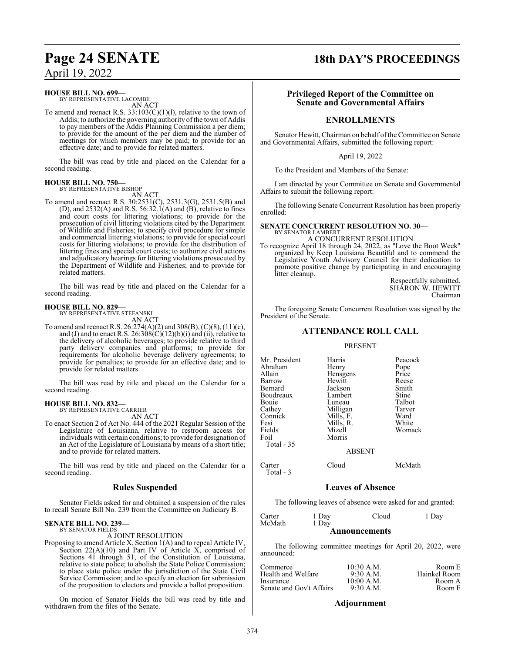### **HOUSE BILL NO. 699—**

BY REPRESENTATIVE LACOMBE AN ACT

To amend and reenact R.S.  $33:103(C)(1)(1)$ , relative to the town of Addis; to authorize the governing authority of the town of Addis to pay members of the Addis Planning Commission a per diem; to provide for the amount of the per diem and the number of meetings for which members may be paid; to provide for an effective date; and to provide for related matters.

The bill was read by title and placed on the Calendar for a second reading.

### **HOUSE BILL NO. 750—** BY REPRESENTATIVE BISHOP

AN ACT

To amend and reenact R.S. 30:2531(C), 2531.3(G), 2531.5(B) and (D), and  $2532(A)$  and R.S. 56:32.1(A) and (B), relative to fines and court costs for littering violations; to provide for the prosecution of civil littering violations cited by the Department of Wildlife and Fisheries; to specify civil procedure for simple and commercial littering violations; to provide for special court costs for littering violations; to provide for the distribution of littering fines and special court costs; to authorize civil actions and adjudicatory hearings for littering violations prosecuted by the Department of Wildlife and Fisheries; and to provide for related matters.

The bill was read by title and placed on the Calendar for a second reading.

### **HOUSE BILL NO. 829—** BY REPRESENTATIVE STEFANSKI

AN ACT

To amend and reenact R.S. 26:274(A)(2) and 308(B), (C)(8), (11)(c), and (J) and to enact R.S.  $26:308(C)(12)(b)(i)$  and (ii), relative to the delivery of alcoholic beverages; to provide relative to third party delivery companies and platforms; to provide for requirements for alcoholic beverage delivery agreements; to provide for penalties; to provide for an effective date; and to provide for related matters.

The bill was read by title and placed on the Calendar for a second reading.

### **HOUSE BILL NO. 832—**

BY REPRESENTATIVE CARRIER AN ACT

To enact Section 2 of Act No. 444 of the 2021 Regular Session of the Legislature of Louisiana, relative to restroom access for individuals with certain conditions; to provide for designation of an Act of the Legislature of Louisiana by means of a short title; and to provide for related matters.

The bill was read by title and placed on the Calendar for a second reading.

### **Rules Suspended**

Senator Fields asked for and obtained a suspension of the rules to recall Senate Bill No. 239 from the Committee on Judiciary B.

#### **SENATE BILL NO. 239—** BY SENATOR FIELDS

A JOINT RESOLUTION

Proposing to amend Article X, Section 1(A) and to repeal Article IV, Section 22(A)(10) and Part IV of Article X, comprised of Sections 41 through 51, of the Constitution of Louisiana, relative to state police; to abolish the State Police Commission; to place state police under the jurisdiction of the State Civil Service Commission; and to specify an election for submission of the proposition to electors and provide a ballot proposition.

On motion of Senator Fields the bill was read by title and withdrawn from the files of the Senate.

### **Page 24 SENATE 18th DAY'S PROCEEDINGS**

### **Privileged Report of the Committee on Senate and Governmental Affairs**

### **ENROLLMENTS**

Senator Hewitt, Chairman on behalf of the Committee on Senate and Governmental Affairs, submitted the following report:

### April 19, 2022

To the President and Members of the Senate:

I am directed by your Committee on Senate and Governmental Affairs to submit the following report:

The following Senate Concurrent Resolution has been properly enrolled:

### **SENATE CONCURRENT RESOLUTION NO. 30—** BY SENATOR LAMBERT

A CONCURRENT RESOLUTION

To recognize April 18 through 24, 2022, as "Love the Boot Week" organized by Keep Louisiana Beautiful and to commend the Legislative Youth Advisory Council for their dedication to promote positive change by participating in and encouraging litter cleanup.

Respectfully submitted, SHARON W. HEWITT Chairman

The foregoing Senate Concurrent Resolution was signed by the President of the Senate.

### **ATTENDANCE ROLL CALL**

### PRESENT

| Mr. President<br>Abraham<br>Allain<br>Barrow<br>Bernard<br>Boudreaux<br>Bouie<br>Cathey<br>Connick<br>Fesi<br>Fields<br>Foil<br>Total - 35 | Harris<br>Henry<br>Hensgens<br>Hewitt<br>Jackson<br>Lambert<br>Luneau<br>Milligan<br>Mills, F.<br>Mills, R.<br>Mizell<br>Morris | Peacock<br>Pope<br>Price<br>Reese<br>Smith<br>Stine<br>Talbot<br>Tarver<br>Ward<br>White<br>Womack |
|--------------------------------------------------------------------------------------------------------------------------------------------|---------------------------------------------------------------------------------------------------------------------------------|----------------------------------------------------------------------------------------------------|
|                                                                                                                                            | <b>ABSENT</b>                                                                                                                   |                                                                                                    |
| Carter<br>Total - 3                                                                                                                        | Cloud                                                                                                                           | McMath                                                                                             |

### **Leaves of Absence**

The following leaves of absence were asked for and granted:

| Carter | 1 Day | Cloud                | 1 Day |
|--------|-------|----------------------|-------|
| McMath | 1 Day |                      |       |
|        |       | <b>Announcements</b> |       |

The following committee meetings for April 20, 2022, were announced:

| Commerce                        | $10:30$ A.M.                | Room E                 |
|---------------------------------|-----------------------------|------------------------|
| Health and Welfare<br>Insurance | $9:30$ A.M.<br>$10:00$ A.M. | Hainkel Room<br>Room A |
| Senate and Gov't Affairs        | $9:30$ A.M.                 | Room F                 |

### **Adjournment**